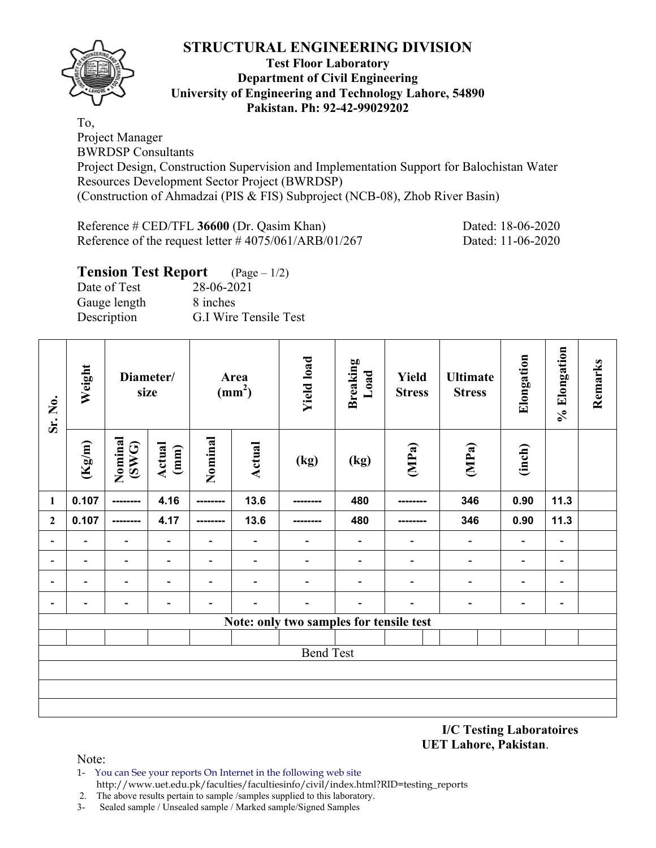

#### **Test Floor Laboratory Department of Civil Engineering University of Engineering and Technology Lahore, 54890 Pakistan. Ph: 92-42-99029202**

To, Project Manager BWRDSP Consultants Project Design, Construction Supervision and Implementation Support for Balochistan Water Resources Development Sector Project (BWRDSP) (Construction of Ahmadzai (PIS & FIS) Subproject (NCB-08), Zhob River Basin)

Reference # CED/TFL **36600** (Dr. Qasim Khan) Dated: 18-06-2020 Reference of the request letter # 4075/061/ARB/01/267 Dated: 11-06-2020

### **Tension Test Report** (Page – 1/2)

Date of Test 28-06-2021 Gauge length 8 inches Description G.I Wire Tensile Test

| Sr. No.                      | Weight                     | Diameter/<br>size |                          |                          | Area<br>(mm <sup>2</sup> )   | <b>Yield load</b>                       | <b>Breaking</b><br>Load  | <b>Yield</b><br><b>Stress</b> | <b>Ultimate</b><br><b>Stress</b> | Elongation               | % Elongation             | Remarks |
|------------------------------|----------------------------|-------------------|--------------------------|--------------------------|------------------------------|-----------------------------------------|--------------------------|-------------------------------|----------------------------------|--------------------------|--------------------------|---------|
|                              | Nominal<br>(Kg/m)<br>(SWG) |                   | <b>Actual</b><br>(mm)    | Nominal                  | Actual                       | (kg)                                    | (kg)                     | (MPa)                         | (MPa)                            | (inch)                   |                          |         |
| $\mathbf{1}$                 | 0.107                      | ---------         | 4.16                     |                          | 13.6                         |                                         | 480                      |                               | 346                              | 0.90                     | 11.3                     |         |
| $\boldsymbol{2}$             | 0.107                      | --------          | 4.17                     |                          | 13.6                         |                                         | 480                      |                               | 346                              | 0.90                     | 11.3                     |         |
| $\qquad \qquad \blacksquare$ | $\overline{\phantom{a}}$   | $\overline{a}$    | $\overline{\phantom{a}}$ | -                        | $\qquad \qquad \blacksquare$ |                                         | $\overline{\phantom{a}}$ | $\overline{\phantom{0}}$      | $\blacksquare$                   | $\overline{\phantom{0}}$ | $\overline{\phantom{a}}$ |         |
| $\qquad \qquad \blacksquare$ | $\overline{\phantom{a}}$   | $\overline{a}$    | $\blacksquare$           | $\overline{\phantom{0}}$ | $\qquad \qquad \blacksquare$ | -                                       | $\overline{\phantom{a}}$ | -                             | $\qquad \qquad \blacksquare$     | $\overline{a}$           | $\overline{\phantom{a}}$ |         |
| $\overline{\phantom{a}}$     |                            | $\overline{a}$    | $\overline{\phantom{a}}$ | $\overline{\phantom{0}}$ | $\overline{a}$               |                                         |                          | $\overline{\phantom{0}}$      | $\qquad \qquad \blacksquare$     | $\overline{a}$           | $\overline{\phantom{a}}$ |         |
| $\qquad \qquad \blacksquare$ | $\overline{\phantom{0}}$   | $\overline{a}$    | $\blacksquare$           | $\blacksquare$           | $\overline{\phantom{0}}$     | -                                       | $\overline{\phantom{0}}$ | $\overline{\phantom{0}}$      | $\qquad \qquad \blacksquare$     | $\qquad \qquad$          | $\overline{\phantom{a}}$ |         |
|                              |                            |                   |                          |                          |                              | Note: only two samples for tensile test |                          |                               |                                  |                          |                          |         |
|                              |                            |                   |                          |                          |                              |                                         |                          |                               |                                  |                          |                          |         |
|                              |                            |                   |                          |                          |                              | <b>Bend Test</b>                        |                          |                               |                                  |                          |                          |         |
|                              |                            |                   |                          |                          |                              |                                         |                          |                               |                                  |                          |                          |         |
|                              |                            |                   |                          |                          |                              |                                         |                          |                               |                                  |                          |                          |         |
|                              |                            |                   |                          |                          |                              |                                         |                          |                               |                                  |                          |                          |         |

**I/C Testing Laboratoires UET Lahore, Pakistan**.

- 1- You can See your reports On Internet in the following web site http://www.uet.edu.pk/faculties/facultiesinfo/civil/index.html?RID=testing\_reports
- 2. The above results pertain to sample /samples supplied to this laboratory.
- 3- Sealed sample / Unsealed sample / Marked sample/Signed Samples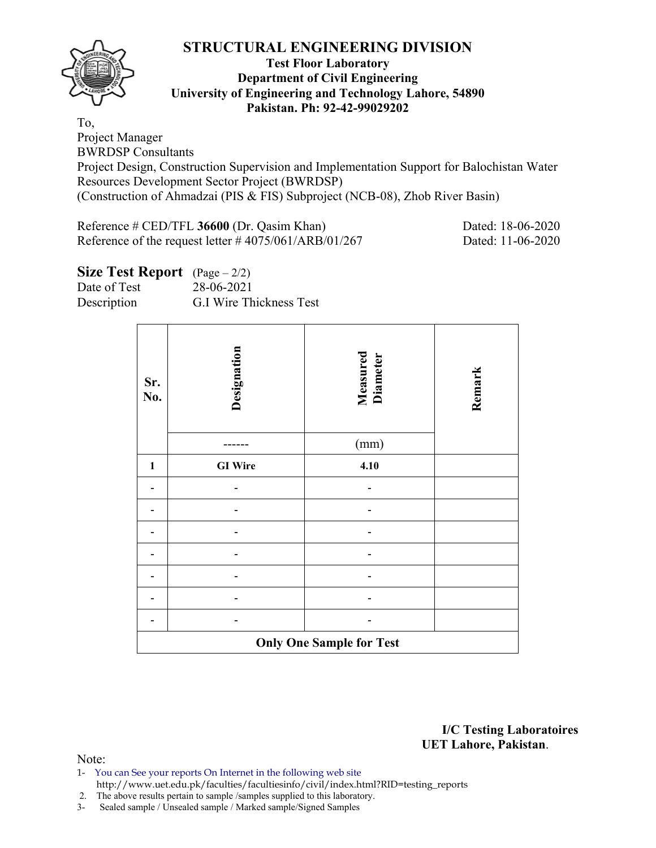

#### **Test Floor Laboratory Department of Civil Engineering University of Engineering and Technology Lahore, 54890 Pakistan. Ph: 92-42-99029202**

To, Project Manager BWRDSP Consultants

Project Design, Construction Supervision and Implementation Support for Balochistan Water Resources Development Sector Project (BWRDSP) (Construction of Ahmadzai (PIS & FIS) Subproject (NCB-08), Zhob River Basin)

Reference # CED/TFL **36600** (Dr. Qasim Khan) Dated: 18-06-2020 Reference of the request letter # 4075/061/ARB/01/267 Dated: 11-06-2020

| <b>Size Test Report</b> $(Page - 2/2)$ |  |
|----------------------------------------|--|
|----------------------------------------|--|

| Date of Test | 28-06-2021              |
|--------------|-------------------------|
| Description  | G.I Wire Thickness Test |

| Sr.<br>No.   | Designation                     | Measured<br>Diameter | Remark |  |  |  |  |  |  |  |  |
|--------------|---------------------------------|----------------------|--------|--|--|--|--|--|--|--|--|
|              |                                 | (mm)                 |        |  |  |  |  |  |  |  |  |
| $\mathbf{1}$ | <b>GI</b> Wire                  | 4.10                 |        |  |  |  |  |  |  |  |  |
|              |                                 |                      |        |  |  |  |  |  |  |  |  |
|              |                                 |                      |        |  |  |  |  |  |  |  |  |
|              |                                 |                      |        |  |  |  |  |  |  |  |  |
|              |                                 |                      |        |  |  |  |  |  |  |  |  |
|              |                                 |                      |        |  |  |  |  |  |  |  |  |
|              |                                 |                      |        |  |  |  |  |  |  |  |  |
|              |                                 |                      |        |  |  |  |  |  |  |  |  |
|              | <b>Only One Sample for Test</b> |                      |        |  |  |  |  |  |  |  |  |

**I/C Testing Laboratoires UET Lahore, Pakistan**.

- 1- You can See your reports On Internet in the following web site http://www.uet.edu.pk/faculties/facultiesinfo/civil/index.html?RID=testing\_reports
- 2. The above results pertain to sample /samples supplied to this laboratory.
- 3- Sealed sample / Unsealed sample / Marked sample/Signed Samples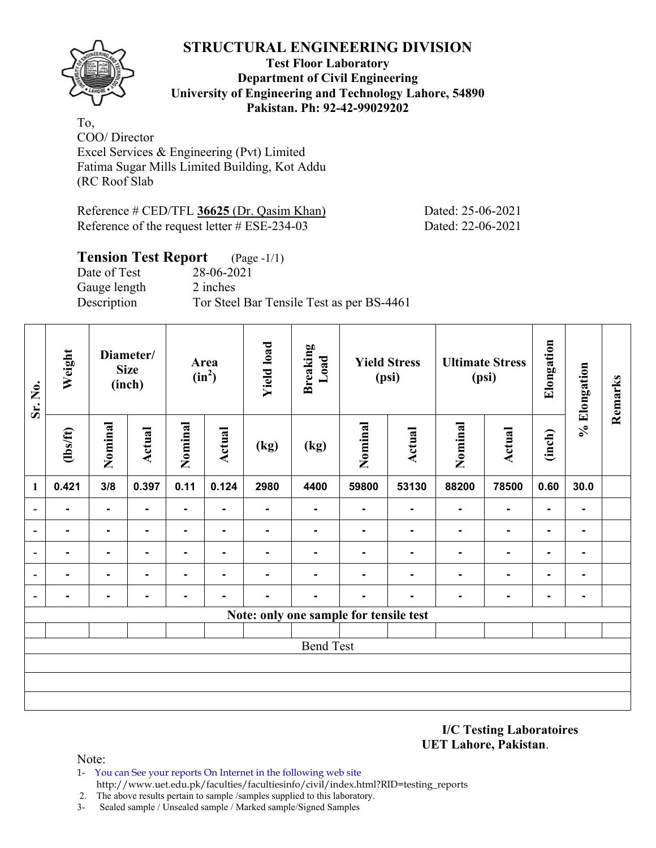

#### **Test Floor Laboratory Department of Civil Engineering University of Engineering and Technology Lahore, 54890 Pakistan. Ph: 92-42-99029202**

To, COO/ Director

Excel Services & Engineering (Pvt) Limited Fatima Sugar Mills Limited Building, Kot Addu (RC Roof Slab

| Reference # CED/TFL 36625 (Dr. Qasim Khan)      | Dated: 25-06-2021 |
|-------------------------------------------------|-------------------|
| Reference of the request letter $\#$ ESE-234-03 | Dated: 22-06-2021 |

# **Tension Test Report** (Page -1/1)

Date of Test 28-06-2021 Gauge length 2 inches Description Tor Steel Bar Tensile Test as per BS-4461

| Sr. No.                  | Weight           |                | Diameter/<br><b>Size</b><br>(inch) |                | Area<br>$(in^2)$ | <b>Yield load</b> | <b>Breaking</b><br>Load                |                | <b>Yield Stress</b><br>(psi) |         | <b>Ultimate Stress</b><br>(psi) | Elongation     | % Elongation   | Remarks |
|--------------------------|------------------|----------------|------------------------------------|----------------|------------------|-------------------|----------------------------------------|----------------|------------------------------|---------|---------------------------------|----------------|----------------|---------|
|                          | $\frac{2}{10}$   | Nominal        | <b>Actual</b>                      | Nominal        | <b>Actual</b>    | (kg)              | (kg)                                   | Nominal        | <b>Actual</b>                | Nominal | <b>Actual</b>                   | (inch)         |                |         |
| $\mathbf{1}$             | 0.421            | 3/8            | 0.397                              | 0.11           | 0.124            | 2980              | 4400                                   | 59800          | 53130                        | 88200   | 78500                           | 0.60           | 30.0           |         |
| $\blacksquare$           | ۰                | $\blacksquare$ | $\blacksquare$                     | ٠.             |                  | ۰                 | ۰                                      | $\blacksquare$ | $\blacksquare$               | ۰       | ٠                               | $\blacksquare$ | $\blacksquare$ |         |
| $\overline{\phantom{0}}$ |                  | $\blacksquare$ | $\blacksquare$                     | ۰              | ۰                |                   | $\blacksquare$                         | ۰              | $\blacksquare$               | ۰       | ٠                               | $\blacksquare$ | $\blacksquare$ |         |
| $\overline{\phantom{a}}$ |                  | $\blacksquare$ | $\blacksquare$                     | -              | $\blacksquare$   |                   |                                        | ۰              | $\blacksquare$               | ۰       | ٠                               | $\blacksquare$ | $\blacksquare$ |         |
| $\overline{\phantom{a}}$ |                  |                | $\blacksquare$                     | $\blacksquare$ | ۰                |                   | $\blacksquare$                         | $\blacksquare$ | $\blacksquare$               | ۰       | $\blacksquare$                  | $\blacksquare$ | $\blacksquare$ |         |
|                          | $\blacksquare$   | $\blacksquare$ | $\blacksquare$                     | ۰              | $\blacksquare$   |                   | $\blacksquare$                         | ٠              | $\blacksquare$               | ۰       | ٠                               | $\blacksquare$ | $\blacksquare$ |         |
|                          |                  |                |                                    |                |                  |                   | Note: only one sample for tensile test |                |                              |         |                                 |                |                |         |
|                          |                  |                |                                    |                |                  |                   |                                        |                |                              |         |                                 |                |                |         |
|                          | <b>Bend Test</b> |                |                                    |                |                  |                   |                                        |                |                              |         |                                 |                |                |         |
|                          |                  |                |                                    |                |                  |                   |                                        |                |                              |         |                                 |                |                |         |
|                          |                  |                |                                    |                |                  |                   |                                        |                |                              |         |                                 |                |                |         |
|                          |                  |                |                                    |                |                  |                   |                                        |                |                              |         |                                 |                |                |         |

**I/C Testing Laboratoires UET Lahore, Pakistan**.

- 1- You can See your reports On Internet in the following web site http://www.uet.edu.pk/faculties/facultiesinfo/civil/index.html?RID=testing\_reports
- 2. The above results pertain to sample /samples supplied to this laboratory.
- 3- Sealed sample / Unsealed sample / Marked sample/Signed Samples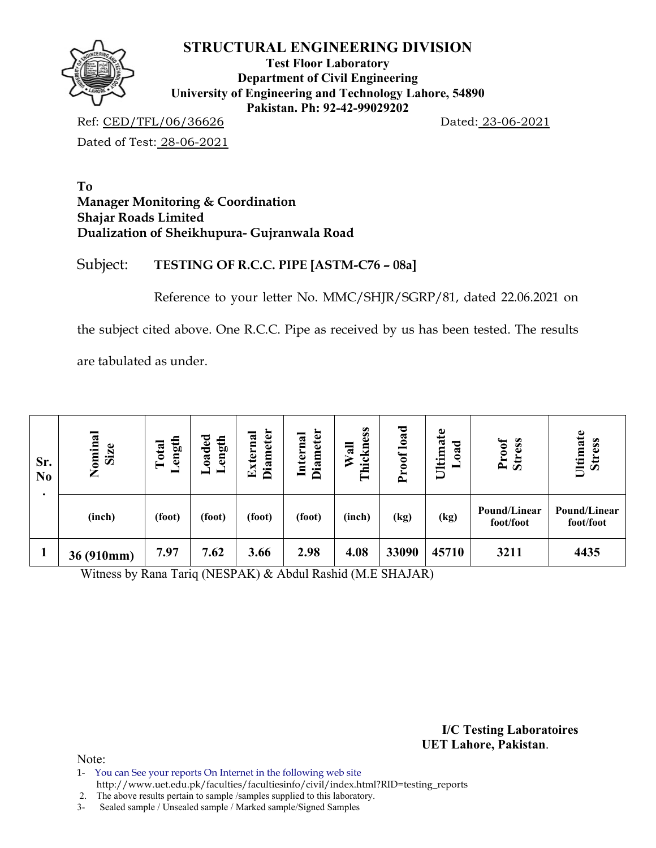

**Test Floor Laboratory Department of Civil Engineering University of Engineering and Technology Lahore, 54890 Pakistan. Ph: 92-42-99029202** 

Ref: CED/TFL/06/36626 Dated: 23-06-2021

Dated of Test: 28-06-2021

#### **To Manager Monitoring & Coordination Shajar Roads Limited Dualization of Sheikhupura- Gujranwala Road**

### Subject: **TESTING OF R.C.C. PIPE [ASTM-C76 – 08a]**

Reference to your letter No. MMC/SHJR/SGRP/81, dated 22.06.2021 on

the subject cited above. One R.C.C. Pipe as received by us has been tested. The results

are tabulated as under.

| Sr.<br>N <sub>0</sub> | Nominal<br>Size | ength<br>Total<br>— | oaded<br>Length | <b>Diameter</b><br><b>Diameter</b><br>Internal<br>xterna<br>国 |        | hickness<br>$W$ all<br>⊨ | load<br>roof<br>A | Ultimate<br>oad<br>— | <b>Stress</b><br>Proof    | Ultimate<br><b>Stress</b> |  |
|-----------------------|-----------------|---------------------|-----------------|---------------------------------------------------------------|--------|--------------------------|-------------------|----------------------|---------------------------|---------------------------|--|
|                       | (inch)          | (foot)              | (foot)          | (foot)                                                        | (foot) | (inch)                   | (kg)              | (kg)                 | Pound/Linear<br>foot/foot | Pound/Linear<br>foot/foot |  |
|                       | 36 (910mm)      | 7.97                | 7.62            | 3.66                                                          | 2.98   | 4.08                     | 33090             | 45710                | 3211                      | 4435                      |  |

Witness by Rana Tariq (NESPAK) & Abdul Rashid (M.E SHAJAR)

**I/C Testing Laboratoires UET Lahore, Pakistan**.

Note:

1- You can See your reports On Internet in the following web site http://www.uet.edu.pk/faculties/facultiesinfo/civil/index.html?RID=testing\_reports

2. The above results pertain to sample /samples supplied to this laboratory.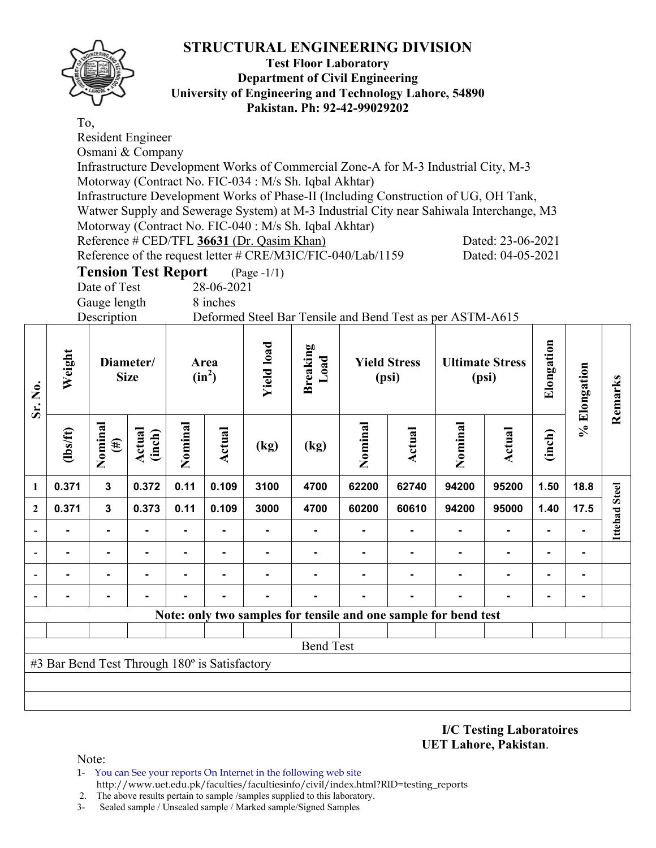

To,

#### **Test Floor Laboratory Department of Civil Engineering University of Engineering and Technology Lahore, 54890 Pakistan. Ph: 92-42-99029202**

Resident Engineer Osmani & Company Infrastructure Development Works of Commercial Zone-A for M-3 Industrial City, M-3 Motorway (Contract No. FIC-034 : M/s Sh. Iqbal Akhtar) Infrastructure Development Works of Phase-II (Including Construction of UG, OH Tank, Watwer Supply and Sewerage System) at M-3 Industrial City near Sahiwala Interchange, M3 Motorway (Contract No. FIC-040 : M/s Sh. Iqbal Akhtar) Reference # CED/TFL 36631 (Dr. Qasim Khan) Dated: 23-06-2021 Reference of the request letter # CRE/M3IC/FIC-040/Lab/1159 Dated: 04-05-2021 **Tension Test Report** (Page -1/1) Date of Test 28-06-2021 Gauge length 8 inches Description Deformed Steel Bar Tensile and Bend Test as per ASTM-A615 **Elongation Yield load**  Elongation **Yield load Breaking Weight Load Diameter/ Area Yield Stress Ultimate Stress % Elongation**  % Elongation  $(in^2)$ **Size (psi) (psi) Sr. No. Nominal Nominal Nominal Nominal**  Nominal Nominal **(lbs/ft) Actual**  Nomina Nomina **(inch) Actual Actual (inch) Actual (#) (kg) (kg) 1 0.371 3 0.372 0.11 0.109 3100 4700 62200 62740 94200 95200 1.50 18.8 2 0.371 3 0.373 0.11 0.109 3000 4700 60200 60610 94200 95000 1.40 17.5 - - - - - - - - - - - - - - - - - - - - - - - - - - - - - - - - - - - - - - - - - - - - - - - - - - - - - - - - Note: only two samples for tensile and one sample for bend test** Bend Test #3 Bar Bend Test Through 180º is Satisfactory

> **I/C Testing Laboratoires UET Lahore, Pakistan**.

**Remarks** 

Remarks

**Ittehad Steel** 

**Ittehad Steel** 

- 1- You can See your reports On Internet in the following web site http://www.uet.edu.pk/faculties/facultiesinfo/civil/index.html?RID=testing\_reports
- 2. The above results pertain to sample /samples supplied to this laboratory.
- 3- Sealed sample / Unsealed sample / Marked sample/Signed Samples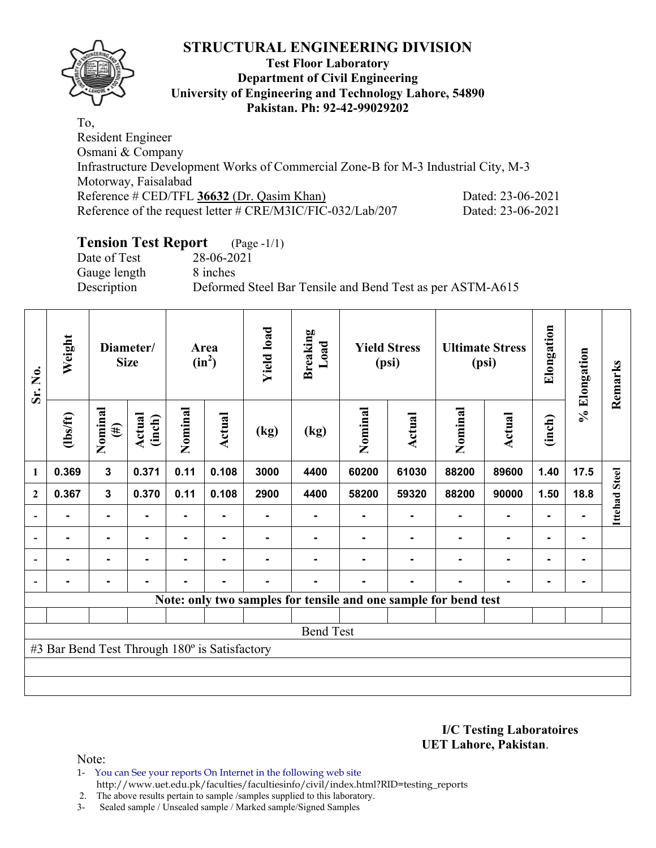

#### **Test Floor Laboratory Department of Civil Engineering University of Engineering and Technology Lahore, 54890 Pakistan. Ph: 92-42-99029202**

To, Resident Engineer Osmani & Company Infrastructure Development Works of Commercial Zone-B for M-3 Industrial City, M-3 Motorway, Faisalabad Reference # CED/TFL **36632** (Dr. Qasim Khan) Dated: 23-06-2021 Reference of the request letter # CRE/M3IC/FIC-032/Lab/207 Dated: 23-06-2021

# **Tension Test Report** (Page -1/1)

Date of Test 28-06-2021 Gauge length 8 inches

Description Deformed Steel Bar Tensile and Bend Test as per ASTM-A615

| Sr. No.        | Weight                                        |                   | Diameter/<br><b>Size</b> |                | Area<br>$(in^2)$ | <b>Yield load</b> | <b>Breaking</b><br>Load                                         |         | <b>Yield Stress</b><br>(psi) |         | Elongation<br><b>Ultimate Stress</b><br>(psi)<br>(inch) |      | % Elongation   | Remarks              |
|----------------|-----------------------------------------------|-------------------|--------------------------|----------------|------------------|-------------------|-----------------------------------------------------------------|---------|------------------------------|---------|---------------------------------------------------------|------|----------------|----------------------|
|                | $\frac{2}{10}$                                | Nominal<br>$(\#)$ | Actual<br>(inch)         | Nominal        | Actual           | (kg)              | (kg)                                                            | Nominal | Actual                       | Nominal | <b>Actual</b>                                           |      |                |                      |
| $\mathbf{1}$   | 0.369                                         | $\mathbf{3}$      | 0.371                    | 0.11           | 0.108            | 3000              | 4400                                                            | 60200   | 61030                        | 88200   | 89600                                                   | 1.40 | 17.5           |                      |
| $\mathbf{2}$   | 0.367                                         | $\mathbf{3}$      | 0.370                    | 0.11           | 0.108            | 2900              | 4400                                                            | 58200   | 59320                        | 88200   | 90000                                                   | 1.50 | 18.8           | <b>Ittehad Steel</b> |
| $\overline{a}$ |                                               | -                 |                          |                |                  |                   |                                                                 |         |                              |         |                                                         |      |                |                      |
| $\overline{a}$ | $\blacksquare$                                | ۰                 |                          | ۰              | ۰                |                   |                                                                 |         |                              |         |                                                         |      | ۰              |                      |
|                | $\blacksquare$                                | $\blacksquare$    |                          | ۰              | ۰.               |                   |                                                                 |         |                              |         | $\blacksquare$                                          | ۰    | ۰              |                      |
|                |                                               | $\blacksquare$    |                          | $\blacksquare$ | $\blacksquare$   |                   |                                                                 |         |                              |         | $\blacksquare$                                          |      | $\blacksquare$ |                      |
|                |                                               |                   |                          |                |                  |                   | Note: only two samples for tensile and one sample for bend test |         |                              |         |                                                         |      |                |                      |
|                |                                               |                   |                          |                |                  |                   |                                                                 |         |                              |         |                                                         |      |                |                      |
|                | <b>Bend Test</b>                              |                   |                          |                |                  |                   |                                                                 |         |                              |         |                                                         |      |                |                      |
|                | #3 Bar Bend Test Through 180° is Satisfactory |                   |                          |                |                  |                   |                                                                 |         |                              |         |                                                         |      |                |                      |
|                |                                               |                   |                          |                |                  |                   |                                                                 |         |                              |         |                                                         |      |                |                      |
|                |                                               |                   |                          |                |                  |                   |                                                                 |         |                              |         |                                                         |      |                |                      |

**I/C Testing Laboratoires UET Lahore, Pakistan**.

Note:

1- You can See your reports On Internet in the following web site http://www.uet.edu.pk/faculties/facultiesinfo/civil/index.html?RID=testing\_reports

2. The above results pertain to sample /samples supplied to this laboratory.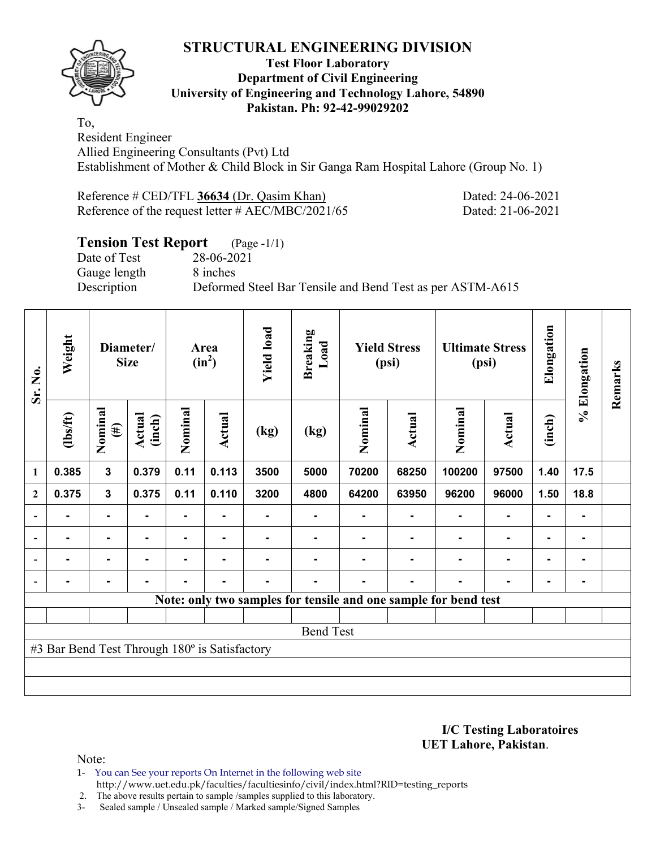

#### **Test Floor Laboratory Department of Civil Engineering University of Engineering and Technology Lahore, 54890 Pakistan. Ph: 92-42-99029202**

To, Resident Engineer Allied Engineering Consultants (Pvt) Ltd Establishment of Mother & Child Block in Sir Ganga Ram Hospital Lahore (Group No. 1)

| Reference $\#$ CED/TFL 36634 (Dr. Qasim Khan)        | Dated: 24-06-2021 |
|------------------------------------------------------|-------------------|
| Reference of the request letter $\#$ AEC/MBC/2021/65 | Dated: 21-06-2021 |

# **Tension Test Report** (Page -1/1)

Date of Test 28-06-2021 Gauge length 8 inches

Description Deformed Steel Bar Tensile and Bend Test as per ASTM-A615

| Sr. No.        | Weight                                        |                   | Diameter/<br><b>Size</b> |         | Area<br>$(in^2)$ | <b>Yield load</b> | <b>Breaking</b><br>Load |         | <b>Yield Stress</b><br>(psi) |                                                                 | <b>Ultimate Stress</b><br>(psi) | Elongation     | % Elongation   | Remarks |
|----------------|-----------------------------------------------|-------------------|--------------------------|---------|------------------|-------------------|-------------------------|---------|------------------------------|-----------------------------------------------------------------|---------------------------------|----------------|----------------|---------|
|                | $\frac{2}{10}$                                | Nominal<br>$(\#)$ | Actual<br>(inch)         | Nominal | <b>Actual</b>    | (kg)              | (kg)                    | Nominal | <b>Actual</b>                | Nominal                                                         | Actual                          | (inch)         |                |         |
| 1              | 0.385                                         | 3                 | 0.379                    | 0.11    | 0.113            | 3500              | 5000                    | 70200   | 68250                        | 100200                                                          | 97500                           | 1.40           | 17.5           |         |
| $\mathbf{2}$   | 0.375                                         | 3                 | 0.375                    | 0.11    | 0.110            | 3200              | 4800                    | 64200   | 63950                        | 96200                                                           | 96000                           | 1.50           | 18.8           |         |
|                |                                               | $\blacksquare$    |                          |         |                  |                   |                         |         |                              |                                                                 | ۰                               |                |                |         |
| $\overline{a}$ | ۰                                             | ۰                 |                          |         | ۰                |                   |                         |         |                              | $\blacksquare$                                                  | ۰                               | ۰              | ٠              |         |
|                | -                                             | ۰                 | -                        |         | $\blacksquare$   |                   |                         |         | $\blacksquare$               | $\blacksquare$                                                  | ۰                               | ۰              | $\blacksquare$ |         |
|                | $\blacksquare$                                | $\blacksquare$    |                          |         | $\blacksquare$   | -                 |                         |         | $\blacksquare$               | $\blacksquare$                                                  | ۰                               | $\blacksquare$ | $\blacksquare$ |         |
|                |                                               |                   |                          |         |                  |                   |                         |         |                              | Note: only two samples for tensile and one sample for bend test |                                 |                |                |         |
|                |                                               |                   |                          |         |                  |                   |                         |         |                              |                                                                 |                                 |                |                |         |
|                | <b>Bend Test</b>                              |                   |                          |         |                  |                   |                         |         |                              |                                                                 |                                 |                |                |         |
|                | #3 Bar Bend Test Through 180° is Satisfactory |                   |                          |         |                  |                   |                         |         |                              |                                                                 |                                 |                |                |         |
|                |                                               |                   |                          |         |                  |                   |                         |         |                              |                                                                 |                                 |                |                |         |
|                |                                               |                   |                          |         |                  |                   |                         |         |                              |                                                                 |                                 |                |                |         |

**I/C Testing Laboratoires UET Lahore, Pakistan**.

Note:

1- You can See your reports On Internet in the following web site http://www.uet.edu.pk/faculties/facultiesinfo/civil/index.html?RID=testing\_reports

2. The above results pertain to sample /samples supplied to this laboratory.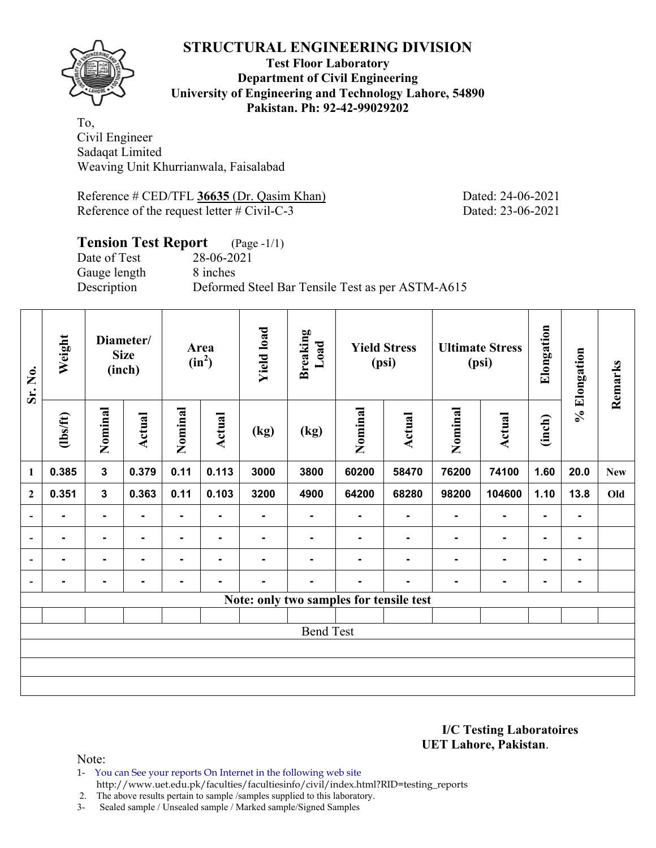

#### **Test Floor Laboratory Department of Civil Engineering University of Engineering and Technology Lahore, 54890 Pakistan. Ph: 92-42-99029202**

To, Civil Engineer Sadaqat Limited Weaving Unit Khurrianwala, Faisalabad

Reference # CED/TFL **36635** (Dr. Qasim Khan) Dated: 24-06-2021 Reference of the request letter # Civil-C-3 Dated: 23-06-2021

### **Tension Test Report** (Page -1/1) Date of Test 28-06-2021 Gauge length 8 inches Description Deformed Steel Bar Tensile Test as per ASTM-A615

| Sr. No.                  | Weight           |                | Diameter/<br><b>Size</b><br>(inch) |                | Area<br>$(in^2)$ | <b>Yield load</b> | <b>Breaking</b><br>Load                 | (psi)          | <b>Yield Stress</b> |                | <b>Ultimate Stress</b><br>(psi) | Elongation     | % Elongation   | Remarks    |
|--------------------------|------------------|----------------|------------------------------------|----------------|------------------|-------------------|-----------------------------------------|----------------|---------------------|----------------|---------------------------------|----------------|----------------|------------|
|                          | $\frac{2}{10}$   | Nominal        | Actual                             | Nominal        | <b>Actual</b>    | (kg)              | (kg)                                    | Nominal        | Actual              | Nominal        | <b>Actual</b>                   | (inch)         |                |            |
| $\mathbf{1}$             | 0.385            | $\mathbf{3}$   | 0.379                              | 0.11           | 0.113            | 3000              | 3800                                    | 60200          | 58470               | 76200          | 74100                           | 1.60           | 20.0           | <b>New</b> |
| $\overline{2}$           | 0.351            | $\mathbf{3}$   | 0.363                              | 0.11           | 0.103            | 3200              | 4900                                    | 64200          | 68280               | 98200          | 104600                          | 1.10           | 13.8           | Old        |
| $\overline{\phantom{a}}$ | ۰.               | ۰              | ٠                                  | ٠              | ٠                | $\blacksquare$    | $\blacksquare$                          | $\blacksquare$ | $\blacksquare$      | $\blacksquare$ | ٠                               | $\blacksquare$ | $\blacksquare$ |            |
| $\overline{\phantom{a}}$ |                  | ۰              | ٠                                  | ۰              | ٠                | ٠                 | $\blacksquare$                          | $\blacksquare$ | ۰                   | ٠              | ٠                               | $\blacksquare$ | $\blacksquare$ |            |
| $\overline{\phantom{a}}$ |                  | $\blacksquare$ | ۰                                  | $\blacksquare$ | $\blacksquare$   | ۰                 | $\blacksquare$                          |                | $\blacksquare$      | $\blacksquare$ | $\blacksquare$                  | ٠              | $\blacksquare$ |            |
| $\overline{\phantom{a}}$ |                  |                | ۰                                  | $\blacksquare$ |                  | $\blacksquare$    | $\blacksquare$                          | $\blacksquare$ | $\blacksquare$      | $\blacksquare$ |                                 | $\blacksquare$ | $\blacksquare$ |            |
|                          |                  |                |                                    |                |                  |                   | Note: only two samples for tensile test |                |                     |                |                                 |                |                |            |
|                          |                  |                |                                    |                |                  |                   |                                         |                |                     |                |                                 |                |                |            |
|                          | <b>Bend Test</b> |                |                                    |                |                  |                   |                                         |                |                     |                |                                 |                |                |            |
|                          |                  |                |                                    |                |                  |                   |                                         |                |                     |                |                                 |                |                |            |
|                          |                  |                |                                    |                |                  |                   |                                         |                |                     |                |                                 |                |                |            |
|                          |                  |                |                                    |                |                  |                   |                                         |                |                     |                |                                 |                |                |            |

**I/C Testing Laboratoires UET Lahore, Pakistan**.

Note:

1- You can See your reports On Internet in the following web site http://www.uet.edu.pk/faculties/facultiesinfo/civil/index.html?RID=testing\_reports

2. The above results pertain to sample /samples supplied to this laboratory.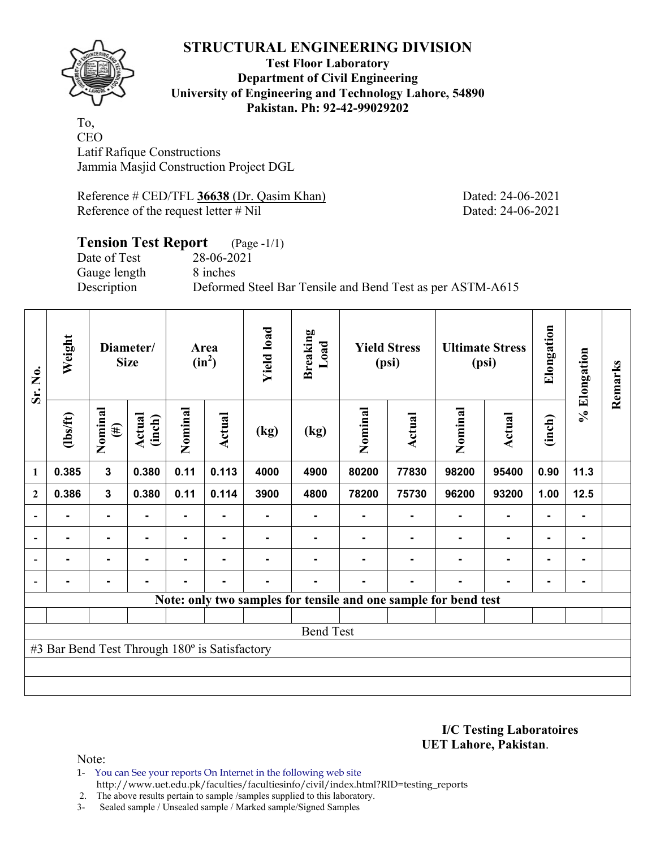

**Test Floor Laboratory Department of Civil Engineering University of Engineering and Technology Lahore, 54890 Pakistan. Ph: 92-42-99029202** 

To, CEO Latif Rafique Constructions Jammia Masjid Construction Project DGL

Reference # CED/TFL **36638** (Dr. Qasim Khan) Dated: 24-06-2021 Reference of the request letter # Nil Dated: 24-06-2021

## **Tension Test Report** (Page -1/1) Date of Test 28-06-2021 Gauge length 8 inches Description Deformed Steel Bar Tensile and Bend Test as per ASTM-A615

| Sr. No.                  | Weight                                        |                   | Diameter/<br><b>Size</b> |         | Area<br>$(in^2)$ | <b>Yield load</b> | <b>Breaking</b><br>Load |         | <b>Yield Stress</b><br>(psi)                                    |         | <b>Ultimate Stress</b><br>(psi) | Elongation | % Elongation   | Remarks |
|--------------------------|-----------------------------------------------|-------------------|--------------------------|---------|------------------|-------------------|-------------------------|---------|-----------------------------------------------------------------|---------|---------------------------------|------------|----------------|---------|
|                          | $\frac{2}{10}$                                | Nominal<br>$(\#)$ | Actual<br>(inch)         | Nominal | <b>Actual</b>    | (kg)              | (kg)                    | Nominal | Actual                                                          | Nominal | <b>Actual</b>                   | (inch)     |                |         |
| $\mathbf{1}$             | 0.385                                         | 3                 | 0.380                    | 0.11    | 0.113            | 4000              | 4900                    | 80200   | 77830                                                           | 98200   | 95400                           | 0.90       | 11.3           |         |
| $\overline{2}$           | 0.386                                         | $\mathbf{3}$      | 0.380                    | 0.11    | 0.114            | 3900              | 4800                    | 78200   | 75730                                                           | 96200   | 93200                           | 1.00       | 12.5           |         |
| $\blacksquare$           |                                               | $\blacksquare$    |                          |         |                  |                   |                         |         |                                                                 |         |                                 |            |                |         |
| $\overline{\phantom{a}}$ |                                               | $\blacksquare$    |                          |         | ۰                |                   |                         |         |                                                                 |         | $\blacksquare$                  | ۰          | $\blacksquare$ |         |
| $\blacksquare$           |                                               | $\blacksquare$    |                          |         | $\blacksquare$   |                   |                         |         |                                                                 | ٠       | $\blacksquare$                  | ٠          | ۰              |         |
|                          |                                               | ۰                 | ٠                        | -       | $\blacksquare$   | ٠                 |                         |         |                                                                 |         |                                 | ۰          | ۰              |         |
|                          |                                               |                   |                          |         |                  |                   |                         |         | Note: only two samples for tensile and one sample for bend test |         |                                 |            |                |         |
|                          |                                               |                   |                          |         |                  |                   |                         |         |                                                                 |         |                                 |            |                |         |
|                          | <b>Bend Test</b>                              |                   |                          |         |                  |                   |                         |         |                                                                 |         |                                 |            |                |         |
|                          | #3 Bar Bend Test Through 180° is Satisfactory |                   |                          |         |                  |                   |                         |         |                                                                 |         |                                 |            |                |         |
|                          |                                               |                   |                          |         |                  |                   |                         |         |                                                                 |         |                                 |            |                |         |
|                          |                                               |                   |                          |         |                  |                   |                         |         |                                                                 |         |                                 |            |                |         |

**I/C Testing Laboratoires UET Lahore, Pakistan**.

- 1- You can See your reports On Internet in the following web site http://www.uet.edu.pk/faculties/facultiesinfo/civil/index.html?RID=testing\_reports
- 2. The above results pertain to sample /samples supplied to this laboratory.
- 3- Sealed sample / Unsealed sample / Marked sample/Signed Samples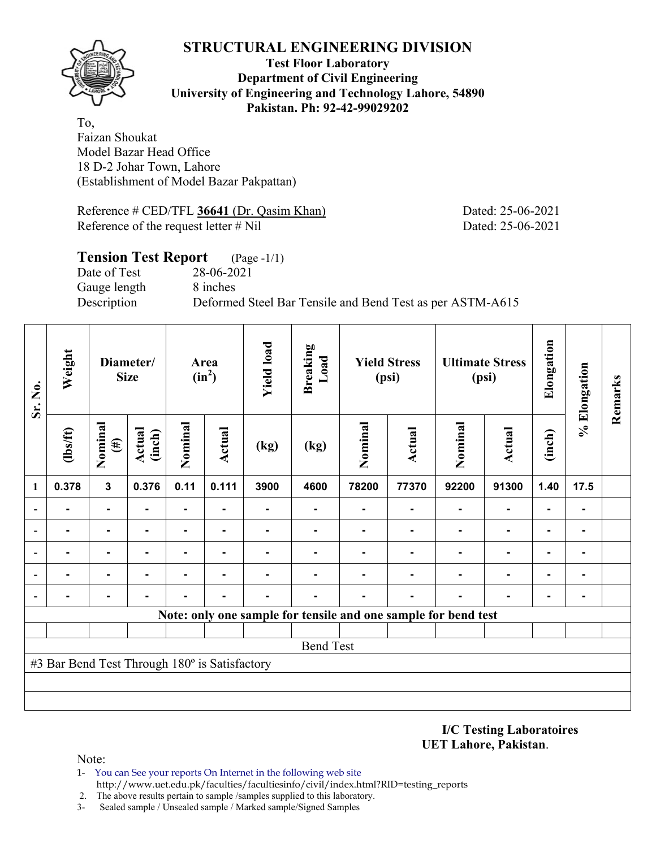

#### **Test Floor Laboratory Department of Civil Engineering University of Engineering and Technology Lahore, 54890 Pakistan. Ph: 92-42-99029202**

To, Faizan Shoukat Model Bazar Head Office 18 D-2 Johar Town, Lahore (Establishment of Model Bazar Pakpattan)

Reference # CED/TFL 36641 (Dr. Qasim Khan) Dated: 25-06-2021 Reference of the request letter # Nil Dated: 25-06-2021

# **Tension Test Report** (Page -1/1) Date of Test 28-06-2021 Gauge length 8 inches Description Deformed Steel Bar Tensile and Bend Test as per ASTM-A615

| Sr. No. | Weight                                        |                   | Diameter/<br><b>Size</b> |         | Area<br>$(in^2)$ | <b>Yield load</b> | <b>Breaking</b><br>Load |         | <b>Yield Stress</b><br>(psi)                                   |         | <b>Ultimate Stress</b><br>(psi) | Elongation     | % Elongation | Remarks |
|---------|-----------------------------------------------|-------------------|--------------------------|---------|------------------|-------------------|-------------------------|---------|----------------------------------------------------------------|---------|---------------------------------|----------------|--------------|---------|
|         | $\frac{2}{10}$                                | Nominal<br>$(\#)$ | <b>Actual</b><br>(inch)  | Nominal | <b>Actual</b>    | (kg)              | (kg)                    | Nominal | Actual                                                         | Nominal | <b>Actual</b>                   | (inch)         |              |         |
| 1       | 0.378                                         | $\mathbf{3}$      | 0.376                    | 0.11    | 0.111            | 3900              | 4600                    | 78200   | 77370                                                          | 92200   | 91300                           | 1.40           | 17.5         |         |
|         |                                               |                   |                          | ۰       |                  |                   |                         |         |                                                                |         | $\blacksquare$                  |                |              |         |
|         |                                               |                   |                          |         |                  |                   |                         |         |                                                                |         | $\blacksquare$                  |                |              |         |
|         |                                               | $\blacksquare$    |                          | ۰       |                  |                   |                         |         |                                                                |         | $\blacksquare$                  | $\blacksquare$ |              |         |
|         |                                               |                   |                          |         |                  |                   |                         |         |                                                                |         | $\blacksquare$                  | $\blacksquare$ |              |         |
|         |                                               |                   |                          |         |                  |                   |                         |         |                                                                |         |                                 |                |              |         |
|         |                                               |                   |                          |         |                  |                   |                         |         | Note: only one sample for tensile and one sample for bend test |         |                                 |                |              |         |
|         |                                               |                   |                          |         |                  |                   |                         |         |                                                                |         |                                 |                |              |         |
|         |                                               |                   |                          |         |                  |                   | <b>Bend Test</b>        |         |                                                                |         |                                 |                |              |         |
|         | #3 Bar Bend Test Through 180° is Satisfactory |                   |                          |         |                  |                   |                         |         |                                                                |         |                                 |                |              |         |
|         |                                               |                   |                          |         |                  |                   |                         |         |                                                                |         |                                 |                |              |         |
|         |                                               |                   |                          |         |                  |                   |                         |         |                                                                |         |                                 |                |              |         |

**I/C Testing Laboratoires UET Lahore, Pakistan**.

- 1- You can See your reports On Internet in the following web site http://www.uet.edu.pk/faculties/facultiesinfo/civil/index.html?RID=testing\_reports
- 2. The above results pertain to sample /samples supplied to this laboratory.
- 3- Sealed sample / Unsealed sample / Marked sample/Signed Samples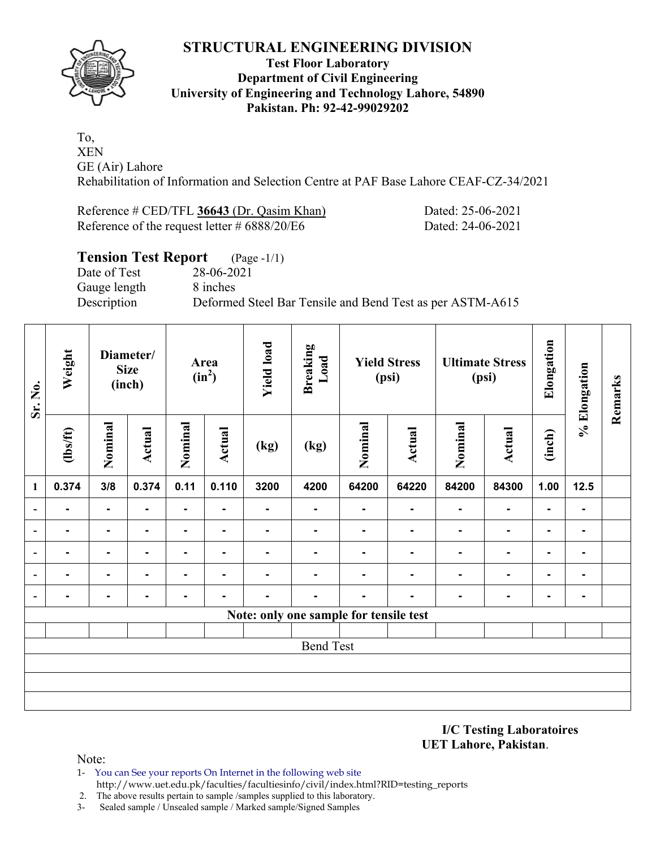

### **Test Floor Laboratory Department of Civil Engineering University of Engineering and Technology Lahore, 54890 Pakistan. Ph: 92-42-99029202**

To, XEN GE (Air) Lahore Rehabilitation of Information and Selection Centre at PAF Base Lahore CEAF-CZ-34/2021

Reference # CED/TFL **36643** (Dr. Qasim Khan) Dated: 25-06-2021 Reference of the request letter # 6888/20/E6 Dated: 24-06-2021

| <b>Tension Test Report</b> (Page -1/1) |                                                           |
|----------------------------------------|-----------------------------------------------------------|
| Date of Test                           | 28-06-2021                                                |
| Gauge length                           | 8 inches                                                  |
| Description                            | Deformed Steel Bar Tensile and Bend Test as per ASTM-A615 |

| Sr. No.                  | Weight         |                | Diameter/<br><b>Size</b><br>(inch) |         | Area<br>$(in^2)$ | <b>Yield load</b> | <b>Breaking</b><br>Load                |         | <b>Yield Stress</b><br>(psi) |                | <b>Ultimate Stress</b><br>(psi) | Elongation     | % Elongation   | Remarks |
|--------------------------|----------------|----------------|------------------------------------|---------|------------------|-------------------|----------------------------------------|---------|------------------------------|----------------|---------------------------------|----------------|----------------|---------|
|                          | $\frac{2}{10}$ | Nominal        | Actual                             | Nominal | <b>Actual</b>    | (kg)              | (kg)                                   | Nominal | <b>Actual</b>                | Nominal        | <b>Actual</b>                   | (inch)         |                |         |
| 1                        | 0.374          | 3/8            | 0.374                              | 0.11    | 0.110            | 3200              | 4200                                   | 64200   | 64220                        | 84200          | 84300                           | 1.00           | 12.5           |         |
| $\blacksquare$           | ۰              | $\blacksquare$ | ۰.                                 | Ξ.      |                  | ٠.                | $\blacksquare$                         | ۰       | $\blacksquare$               | $\blacksquare$ | ٠                               | $\blacksquare$ |                |         |
| $\overline{\phantom{0}}$ | ۰              |                | ۰                                  | Ξ.      | $\blacksquare$   | Ξ.                | ۰                                      | ۰.      | $\blacksquare$               | $\blacksquare$ | ۰                               | $\blacksquare$ | $\blacksquare$ |         |
|                          | ۰              | ۰              | -                                  | ۰       | $\blacksquare$   | -                 | $\blacksquare$                         | -       | $\blacksquare$               | $\blacksquare$ | ۰                               | $\blacksquare$ | $\blacksquare$ |         |
| $\overline{\phantom{0}}$ | ۰              | ۰              |                                    |         | -                |                   |                                        |         | ۰                            | $\blacksquare$ | $\blacksquare$                  | $\blacksquare$ | ٠              |         |
| $\overline{\phantom{a}}$ | $\blacksquare$ | ۰              | $\blacksquare$                     | ۰       | $\blacksquare$   | $\blacksquare$    | $\blacksquare$                         | ۰       | ٠                            | $\blacksquare$ | ۰                               | $\blacksquare$ | $\blacksquare$ |         |
|                          |                |                |                                    |         |                  |                   | Note: only one sample for tensile test |         |                              |                |                                 |                |                |         |
|                          |                |                |                                    |         |                  |                   |                                        |         |                              |                |                                 |                |                |         |
|                          |                |                |                                    |         |                  |                   | <b>Bend Test</b>                       |         |                              |                |                                 |                |                |         |
|                          |                |                |                                    |         |                  |                   |                                        |         |                              |                |                                 |                |                |         |
|                          |                |                |                                    |         |                  |                   |                                        |         |                              |                |                                 |                |                |         |
|                          |                |                |                                    |         |                  |                   |                                        |         |                              |                |                                 |                |                |         |

**I/C Testing Laboratoires UET Lahore, Pakistan**.

- 1- You can See your reports On Internet in the following web site http://www.uet.edu.pk/faculties/facultiesinfo/civil/index.html?RID=testing\_reports
- 2. The above results pertain to sample /samples supplied to this laboratory.
- 3- Sealed sample / Unsealed sample / Marked sample/Signed Samples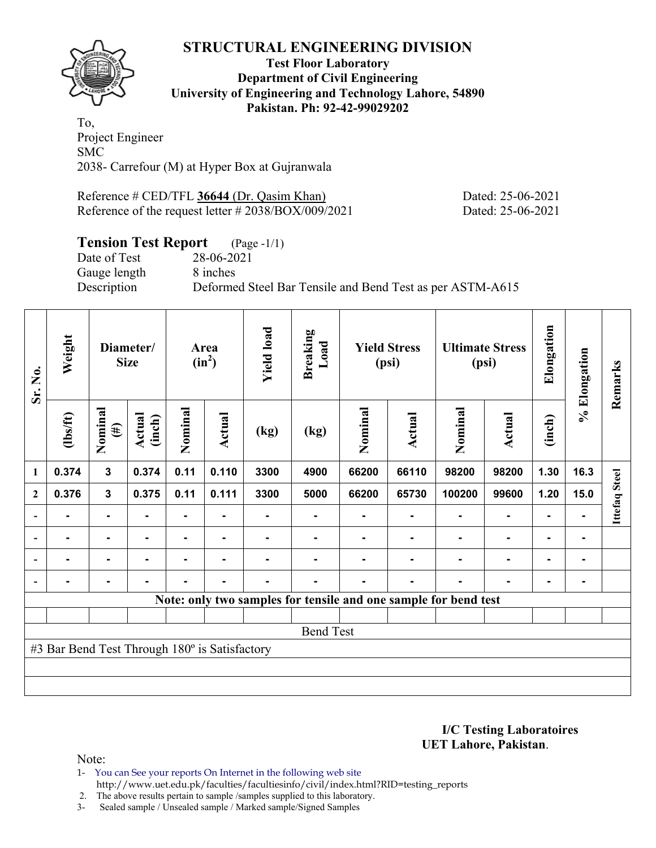

#### **Test Floor Laboratory Department of Civil Engineering University of Engineering and Technology Lahore, 54890 Pakistan. Ph: 92-42-99029202**

To, Project Engineer SMC 2038- Carrefour (M) at Hyper Box at Gujranwala

Reference # CED/TFL 36644 (Dr. Qasim Khan) Dated: 25-06-2021 Reference of the request letter # 2038/BOX/009/2021 Dated: 25-06-2021

### **Tension Test Report** (Page -1/1)

Date of Test 28-06-2021 Gauge length 8 inches

Description Deformed Steel Bar Tensile and Bend Test as per ASTM-A615

| Sr. No.          | Weight                                        |                   | Diameter/<br><b>Size</b> |                | Area<br>$(in^2)$ | <b>Yield load</b> | <b>Breaking</b><br>Load |         | <b>Yield Stress</b><br>(psi) |                                                                 | <b>Ultimate Stress</b><br>(psi) | Elongation     | % Elongation | Remarks              |
|------------------|-----------------------------------------------|-------------------|--------------------------|----------------|------------------|-------------------|-------------------------|---------|------------------------------|-----------------------------------------------------------------|---------------------------------|----------------|--------------|----------------------|
|                  | (1bs/ft)                                      | Nominal<br>$(\#)$ | Actual<br>(inch)         | Nominal        | Actual           | (kg)              | (kg)                    | Nominal | <b>Actual</b>                | Nominal                                                         | Actual                          | (inch)         |              |                      |
| 1                | 0.374                                         | 3                 | 0.374                    | 0.11           | 0.110            | 3300              | 4900                    | 66200   | 66110                        | 98200                                                           | 98200                           | 1.30           | 16.3         |                      |
| $\boldsymbol{2}$ | 0.376                                         | 3                 | 0.375                    | 0.11           | 0.111            | 3300              | 5000                    | 66200   | 65730                        | 100200                                                          | 99600                           | 1.20           | 15.0         | <b>Ittefaq Steel</b> |
|                  |                                               |                   |                          |                |                  |                   |                         |         |                              |                                                                 |                                 |                |              |                      |
|                  |                                               | $\blacksquare$    |                          |                | ۰.               |                   |                         |         |                              |                                                                 | $\overline{\phantom{0}}$        | $\blacksquare$ |              |                      |
|                  |                                               | $\blacksquare$    |                          |                | ۰                |                   |                         |         |                              |                                                                 | $\blacksquare$                  | $\blacksquare$ |              |                      |
|                  |                                               | $\blacksquare$    |                          | $\blacksquare$ | ۰                | -                 |                         |         |                              |                                                                 | $\blacksquare$                  | $\blacksquare$ |              |                      |
|                  |                                               |                   |                          |                |                  |                   |                         |         |                              | Note: only two samples for tensile and one sample for bend test |                                 |                |              |                      |
|                  |                                               |                   |                          |                |                  |                   |                         |         |                              |                                                                 |                                 |                |              |                      |
|                  |                                               |                   |                          |                |                  |                   | <b>Bend Test</b>        |         |                              |                                                                 |                                 |                |              |                      |
|                  | #3 Bar Bend Test Through 180° is Satisfactory |                   |                          |                |                  |                   |                         |         |                              |                                                                 |                                 |                |              |                      |
|                  |                                               |                   |                          |                |                  |                   |                         |         |                              |                                                                 |                                 |                |              |                      |
|                  |                                               |                   |                          |                |                  |                   |                         |         |                              |                                                                 |                                 |                |              |                      |

**I/C Testing Laboratoires UET Lahore, Pakistan**.

Note:

1- You can See your reports On Internet in the following web site http://www.uet.edu.pk/faculties/facultiesinfo/civil/index.html?RID=testing\_reports

2. The above results pertain to sample /samples supplied to this laboratory.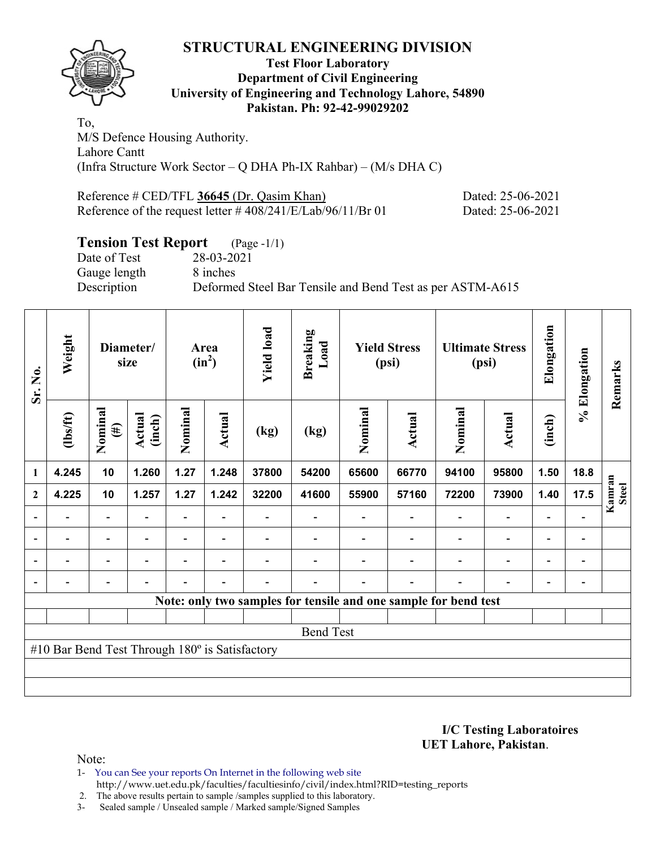

#### **Test Floor Laboratory Department of Civil Engineering University of Engineering and Technology Lahore, 54890 Pakistan. Ph: 92-42-99029202**

To, M/S Defence Housing Authority. Lahore Cantt (Infra Structure Work Sector – Q DHA Ph-IX Rahbar) – (M/s DHA C)

Reference # CED/TFL 36645 (Dr. Qasim Khan) Dated: 25-06-2021 Reference of the request letter # 408/241/E/Lab/96/11/Br 01 Dated: 25-06-2021

# **Tension Test Report** (Page -1/1)

Date of Test 28-03-2021 Gauge length 8 inches

Description Deformed Steel Bar Tensile and Bend Test as per ASTM-A615

| Sr. No.      | Weight                                         |                          | Diameter/<br>size |                | Area<br>$(in^2)$         | <b>Yield load</b> | <b>Breaking</b><br>Load |                                                                 | <b>Yield Stress</b><br>(psi) |                          | <b>Ultimate Stress</b><br>(psi) | Elongation               | % Elongation             | Remarks                |
|--------------|------------------------------------------------|--------------------------|-------------------|----------------|--------------------------|-------------------|-------------------------|-----------------------------------------------------------------|------------------------------|--------------------------|---------------------------------|--------------------------|--------------------------|------------------------|
|              | (1bs/ft)                                       | Nominal<br>$(\#)$        | Actual<br>(inch)  | Nominal        | Actual                   | (kg)              | (kg)                    | Nominal                                                         | Actual                       | Nominal                  | <b>Actual</b>                   | (inch)                   |                          |                        |
| 1            | 4.245                                          | 10                       | 1.260             | 1.27           | 1.248                    | 37800             | 54200                   | 65600                                                           | 66770                        | 94100                    | 95800                           | 1.50                     | 18.8                     |                        |
| $\mathbf{2}$ | 4.225                                          | 10                       | 1.257             | 1.27           | 1.242                    | 32200             | 41600                   | 55900                                                           | 57160                        | 72200                    | 73900                           | 1.40                     | 17.5                     | Kamran<br><b>Steel</b> |
|              |                                                |                          |                   |                |                          |                   |                         |                                                                 |                              |                          | $\qquad \qquad -$               | $\blacksquare$           |                          |                        |
|              |                                                | $\blacksquare$           |                   |                |                          |                   |                         |                                                                 |                              |                          | $\qquad \qquad -$               | -                        | -                        |                        |
|              | $\blacksquare$                                 | $\overline{\phantom{a}}$ | $\blacksquare$    | $\blacksquare$ | $\blacksquare$           |                   |                         |                                                                 |                              | $\overline{\phantom{0}}$ | $\overline{\phantom{a}}$        | Ξ.                       | $\blacksquare$           |                        |
|              | $\blacksquare$                                 | $\overline{\phantom{0}}$ |                   |                | $\overline{\phantom{0}}$ |                   |                         |                                                                 | ۰                            | $\overline{\phantom{0}}$ | $\overline{\phantom{a}}$        | $\overline{\phantom{a}}$ | $\overline{\phantom{a}}$ |                        |
|              |                                                |                          |                   |                |                          |                   |                         | Note: only two samples for tensile and one sample for bend test |                              |                          |                                 |                          |                          |                        |
|              |                                                |                          |                   |                |                          |                   |                         |                                                                 |                              |                          |                                 |                          |                          |                        |
|              |                                                |                          |                   |                |                          |                   | <b>Bend Test</b>        |                                                                 |                              |                          |                                 |                          |                          |                        |
|              | #10 Bar Bend Test Through 180° is Satisfactory |                          |                   |                |                          |                   |                         |                                                                 |                              |                          |                                 |                          |                          |                        |
|              |                                                |                          |                   |                |                          |                   |                         |                                                                 |                              |                          |                                 |                          |                          |                        |
|              |                                                |                          |                   |                |                          |                   |                         |                                                                 |                              |                          |                                 |                          |                          |                        |

**I/C Testing Laboratoires UET Lahore, Pakistan**.

Note:

1- You can See your reports On Internet in the following web site http://www.uet.edu.pk/faculties/facultiesinfo/civil/index.html?RID=testing\_reports

2. The above results pertain to sample /samples supplied to this laboratory.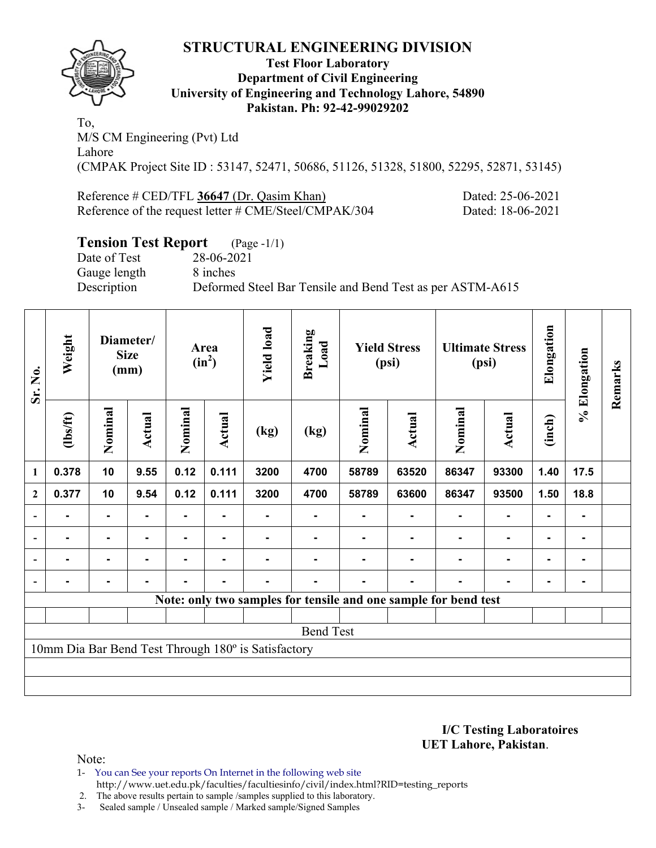

#### **Test Floor Laboratory Department of Civil Engineering University of Engineering and Technology Lahore, 54890 Pakistan. Ph: 92-42-99029202**

To, M/S CM Engineering (Pvt) Ltd Lahore (CMPAK Project Site ID : 53147, 52471, 50686, 51126, 51328, 51800, 52295, 52871, 53145)

Reference # CED/TFL 36647 (Dr. Qasim Khan) Dated: 25-06-2021 Reference of the request letter # CME/Steel/CMPAK/304 Dated: 18-06-2021

# **Tension Test Report** (Page -1/1)

Date of Test 28-06-2021 Gauge length 8 inches

Description Deformed Steel Bar Tensile and Bend Test as per ASTM-A615

| Sr. No.                  | Weight   |                | Diameter/<br><b>Size</b><br>(mm) |         | Area<br>$(in^2)$ | <b>Yield load</b>                                   | <b>Breaking</b><br>Load                                         |         | <b>Yield Stress</b><br>(psi) |                | <b>Ultimate Stress</b><br>(psi) | Elongation     | % Elongation   | Remarks |
|--------------------------|----------|----------------|----------------------------------|---------|------------------|-----------------------------------------------------|-----------------------------------------------------------------|---------|------------------------------|----------------|---------------------------------|----------------|----------------|---------|
|                          | (1bs/ft) | Nominal        | Actual                           | Nominal | Actual           | (kg)                                                | (kg)                                                            | Nominal | <b>Actual</b>                | Nominal        | Actual                          | (inch)         |                |         |
| $\mathbf{1}$             | 0.378    | 10             | 9.55                             | 0.12    | 0.111            | 3200                                                | 4700                                                            | 58789   | 63520                        | 86347          | 93300                           | 1.40           | 17.5           |         |
| $\boldsymbol{2}$         | 0.377    | 10             | 9.54                             | 0.12    | 0.111            | 3200                                                | 4700                                                            | 58789   | 63600                        | 86347          | 93500                           | 1.50           | 18.8           |         |
| $\overline{\phantom{a}}$ |          | ۰              |                                  |         |                  |                                                     |                                                                 |         |                              | $\blacksquare$ | $\blacksquare$                  | $\blacksquare$ |                |         |
| $\overline{\phantom{a}}$ | ۰.       | $\blacksquare$ | $\blacksquare$                   | ۰       | ٠                |                                                     |                                                                 |         | $\blacksquare$               | $\blacksquare$ | $\blacksquare$                  | ۰              | $\blacksquare$ |         |
|                          | Ξ.       | $\blacksquare$ | $\blacksquare$                   | Ξ.      | $\blacksquare$   |                                                     |                                                                 |         | $\blacksquare$               |                | $\blacksquare$                  | ۰              | ۰              |         |
| $\overline{\phantom{0}}$ |          | $\blacksquare$ |                                  |         |                  |                                                     |                                                                 |         |                              |                |                                 | -              |                |         |
|                          |          |                |                                  |         |                  |                                                     | Note: only two samples for tensile and one sample for bend test |         |                              |                |                                 |                |                |         |
|                          |          |                |                                  |         |                  |                                                     |                                                                 |         |                              |                |                                 |                |                |         |
|                          |          |                |                                  |         |                  |                                                     | <b>Bend Test</b>                                                |         |                              |                |                                 |                |                |         |
|                          |          |                |                                  |         |                  | 10mm Dia Bar Bend Test Through 180° is Satisfactory |                                                                 |         |                              |                |                                 |                |                |         |
|                          |          |                |                                  |         |                  |                                                     |                                                                 |         |                              |                |                                 |                |                |         |
|                          |          |                |                                  |         |                  |                                                     |                                                                 |         |                              |                |                                 |                |                |         |

**I/C Testing Laboratoires UET Lahore, Pakistan**.

Note:

1- You can See your reports On Internet in the following web site http://www.uet.edu.pk/faculties/facultiesinfo/civil/index.html?RID=testing\_reports

2. The above results pertain to sample /samples supplied to this laboratory.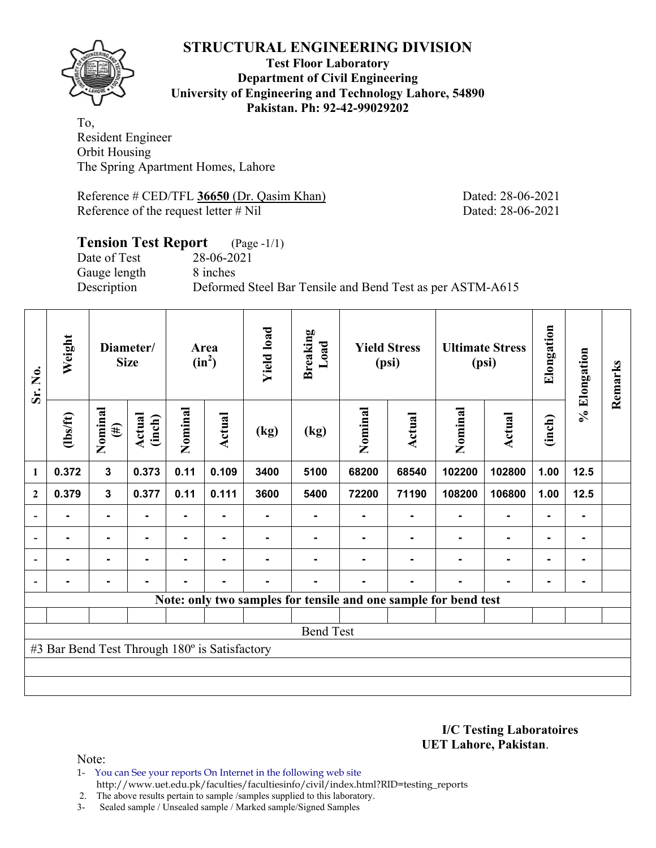

#### **Test Floor Laboratory Department of Civil Engineering University of Engineering and Technology Lahore, 54890 Pakistan. Ph: 92-42-99029202**

To, Resident Engineer Orbit Housing The Spring Apartment Homes, Lahore

Reference # CED/TFL 36650 (Dr. Qasim Khan) Dated: 28-06-2021 Reference of the request letter # Nil Dated: 28-06-2021

#### **Tension Test Report** (Page -1/1) Date of Test 28-06-2021 Gauge length 8 inches

Description Deformed Steel Bar Tensile and Bend Test as per ASTM-A615

| Sr. No.        | Weight                                        |                   | Diameter/<br><b>Size</b> |                | Area<br>$(in^2)$ | <b>Yield load</b> | <b>Breaking</b><br>Load |         | <b>Yield Stress</b><br>(psi) |                                                                 | <b>Ultimate Stress</b><br>(psi) | Elongation     | % Elongation | Remarks |
|----------------|-----------------------------------------------|-------------------|--------------------------|----------------|------------------|-------------------|-------------------------|---------|------------------------------|-----------------------------------------------------------------|---------------------------------|----------------|--------------|---------|
|                | $\frac{2}{10}$                                | Nominal<br>$(\#)$ | Actual<br>(inch)         | Nominal        | Actual           | (kg)              | (kg)                    | Nominal | Actual                       | Nominal                                                         | Actual                          | (inch)         |              |         |
| 1              | 0.372                                         | $\mathbf{3}$      | 0.373                    | 0.11           | 0.109            | 3400              | 5100                    | 68200   | 68540                        | 102200                                                          | 102800                          | 1.00           | 12.5         |         |
| $\mathbf{2}$   | 0.379                                         | $\mathbf{3}$      | 0.377                    | 0.11           | 0.111            | 3600              | 5400                    | 72200   | 71190                        | 108200                                                          | 106800                          | 1.00           | 12.5         |         |
|                |                                               | ۰                 |                          |                |                  |                   |                         |         |                              |                                                                 |                                 |                |              |         |
| $\blacksquare$ | -                                             | $\blacksquare$    | $\blacksquare$           |                |                  |                   |                         |         |                              |                                                                 | ۰                               | $\blacksquare$ |              |         |
|                | -                                             | ۰                 |                          | $\blacksquare$ |                  |                   |                         |         |                              |                                                                 | $\blacksquare$                  | $\blacksquare$ |              |         |
|                |                                               | ۰                 |                          | ٠              | $\blacksquare$   | $\blacksquare$    |                         |         |                              |                                                                 | $\blacksquare$                  | $\blacksquare$ |              |         |
|                |                                               |                   |                          |                |                  |                   |                         |         |                              | Note: only two samples for tensile and one sample for bend test |                                 |                |              |         |
|                |                                               |                   |                          |                |                  |                   |                         |         |                              |                                                                 |                                 |                |              |         |
|                |                                               |                   |                          |                |                  |                   | <b>Bend Test</b>        |         |                              |                                                                 |                                 |                |              |         |
|                | #3 Bar Bend Test Through 180° is Satisfactory |                   |                          |                |                  |                   |                         |         |                              |                                                                 |                                 |                |              |         |
|                |                                               |                   |                          |                |                  |                   |                         |         |                              |                                                                 |                                 |                |              |         |
|                |                                               |                   |                          |                |                  |                   |                         |         |                              |                                                                 |                                 |                |              |         |

**I/C Testing Laboratoires UET Lahore, Pakistan**.

Note:

1- You can See your reports On Internet in the following web site http://www.uet.edu.pk/faculties/facultiesinfo/civil/index.html?RID=testing\_reports

2. The above results pertain to sample /samples supplied to this laboratory.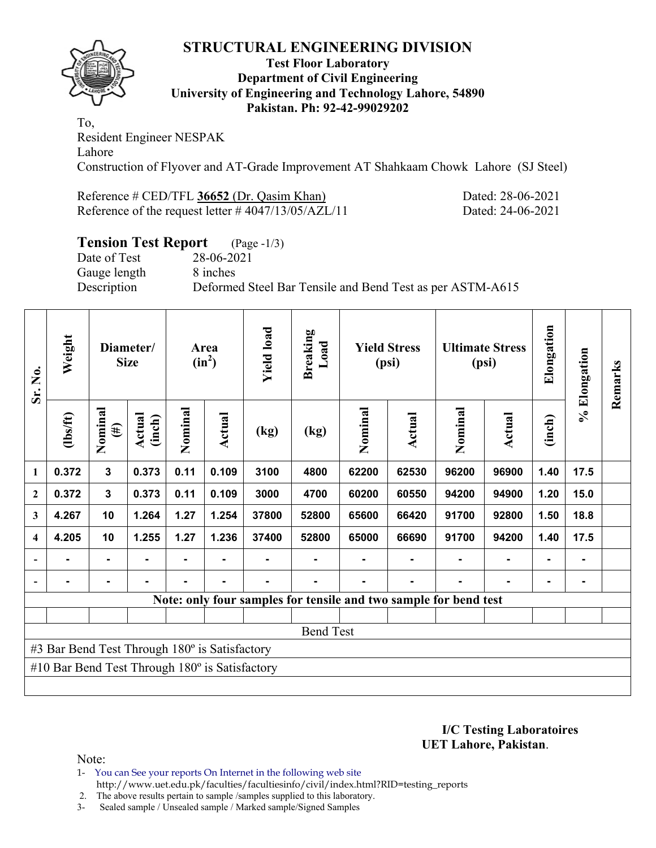

#### **Test Floor Laboratory Department of Civil Engineering University of Engineering and Technology Lahore, 54890 Pakistan. Ph: 92-42-99029202**

To, Resident Engineer NESPAK Lahore Construction of Flyover and AT-Grade Improvement AT Shahkaam Chowk Lahore (SJ Steel)

| Reference # CED/TFL 36652 (Dr. Qasim Khan)             |  |  |
|--------------------------------------------------------|--|--|
| Reference of the request letter $\#$ 4047/13/05/AZL/11 |  |  |

Dated: 28-06-2021 Dated: 24-06-2021

# **Tension Test Report** (Page -1/3)

Date of Test 28-06-2021 Gauge length 8 inches

Description Deformed Steel Bar Tensile and Bend Test as per ASTM-A615

| Sr. No.                 | Weight                                                |                   | Diameter/<br><b>Size</b> |         | Area<br>$(in^2)$ | <b>Yield load</b> | <b>Breaking</b><br>Load                                          |         | <b>Yield Stress</b><br>(psi) |         | <b>Ultimate Stress</b><br>(psi) | Elongation     | % Elongation | Remarks |
|-------------------------|-------------------------------------------------------|-------------------|--------------------------|---------|------------------|-------------------|------------------------------------------------------------------|---------|------------------------------|---------|---------------------------------|----------------|--------------|---------|
|                         | (lbs/ft)                                              | Nominal<br>$(\#)$ | Actual<br>(inch)         | Nominal | Actual           | (kg)              | (kg)                                                             | Nominal | <b>Actual</b>                | Nominal | Actual                          | (inch)         |              |         |
| 1                       | 0.372                                                 | $\mathbf{3}$      | 0.373                    | 0.11    | 0.109            | 3100              | 4800                                                             | 62200   | 62530                        | 96200   | 96900                           | 1.40           | 17.5         |         |
| $\mathbf{2}$            | 0.372                                                 | $\mathbf{3}$      | 0.373                    | 0.11    | 0.109            | 3000              | 4700                                                             | 60200   | 60550                        | 94200   | 94900                           | 1.20           | 15.0         |         |
| 3                       | 4.267                                                 | 10                | 1.264                    | 1.27    | 1.254            | 37800             | 52800                                                            | 65600   | 66420                        | 91700   | 92800                           | 1.50           | 18.8         |         |
| $\overline{\mathbf{4}}$ | 4.205                                                 | 10                | 1.255                    | 1.27    | 1.236            | 37400             | 52800                                                            | 65000   | 66690                        | 91700   | 94200                           | 1.40           | 17.5         |         |
|                         |                                                       | $\blacksquare$    |                          |         |                  |                   |                                                                  |         |                              |         |                                 | $\blacksquare$ | ۰            |         |
|                         |                                                       | $\blacksquare$    |                          |         |                  |                   |                                                                  |         |                              |         |                                 |                |              |         |
|                         |                                                       |                   |                          |         |                  |                   | Note: only four samples for tensile and two sample for bend test |         |                              |         |                                 |                |              |         |
|                         |                                                       |                   |                          |         |                  |                   |                                                                  |         |                              |         |                                 |                |              |         |
|                         | <b>Bend Test</b>                                      |                   |                          |         |                  |                   |                                                                  |         |                              |         |                                 |                |              |         |
|                         | #3 Bar Bend Test Through 180° is Satisfactory         |                   |                          |         |                  |                   |                                                                  |         |                              |         |                                 |                |              |         |
|                         | #10 Bar Bend Test Through $180^\circ$ is Satisfactory |                   |                          |         |                  |                   |                                                                  |         |                              |         |                                 |                |              |         |
|                         |                                                       |                   |                          |         |                  |                   |                                                                  |         |                              |         |                                 |                |              |         |

**I/C Testing Laboratoires UET Lahore, Pakistan**.

- 1- You can See your reports On Internet in the following web site
	- http://www.uet.edu.pk/faculties/facultiesinfo/civil/index.html?RID=testing\_reports
- 2. The above results pertain to sample /samples supplied to this laboratory. 3- Sealed sample / Unsealed sample / Marked sample/Signed Samples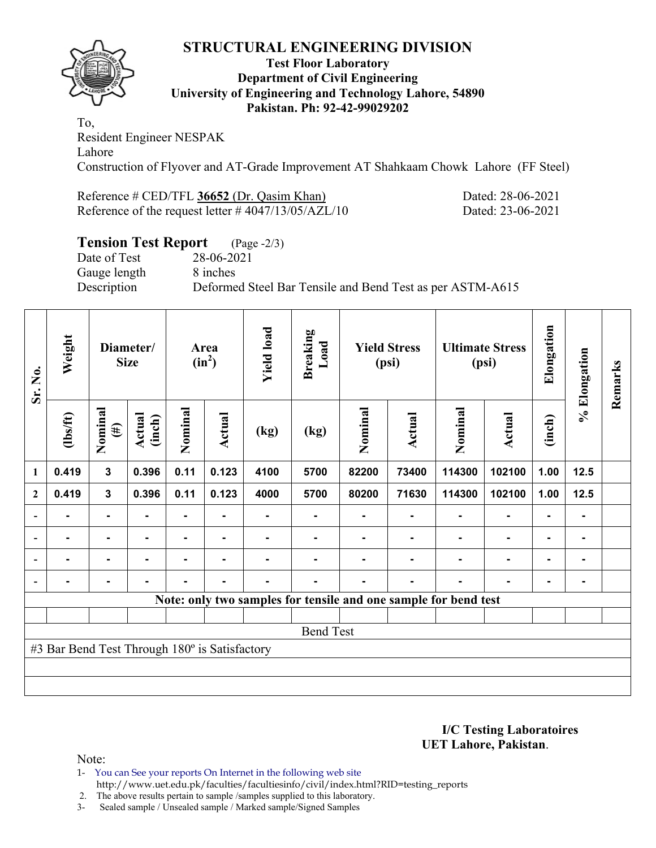

#### **Test Floor Laboratory Department of Civil Engineering University of Engineering and Technology Lahore, 54890 Pakistan. Ph: 92-42-99029202**

To, Resident Engineer NESPAK Lahore Construction of Flyover and AT-Grade Improvement AT Shahkaam Chowk Lahore (FF Steel)

Reference # CED/TFL 36652 (Dr. Qasim Khan) Dated: 28-06-2021 Reference of the request letter # 4047/13/05/AZL/10 Dated: 23-06-2021

### **Tension Test Report** (Page -2/3)

Date of Test 28-06-2021 Gauge length 8 inches

Description Deformed Steel Bar Tensile and Bend Test as per ASTM-A615

| Sr. No.      | Weight                                        |                   | Diameter/<br><b>Size</b> |         | Area<br>$(in^2)$ | <b>Yield load</b> | <b>Breaking</b><br>Load |         | <b>Yield Stress</b><br>(psi) |                                                                 | <b>Ultimate Stress</b><br>(psi) | Elongation     | % Elongation | Remarks |
|--------------|-----------------------------------------------|-------------------|--------------------------|---------|------------------|-------------------|-------------------------|---------|------------------------------|-----------------------------------------------------------------|---------------------------------|----------------|--------------|---------|
|              | $\frac{2}{10}$                                | Nominal<br>$(\#)$ | Actual<br>(inch)         | Nominal | Actual           | (kg)              | (kg)                    | Nominal | <b>Actual</b>                | Nominal                                                         | <b>Actual</b>                   | (inch)         |              |         |
| 1            | 0.419                                         | $\mathbf{3}$      | 0.396                    | 0.11    | 0.123            | 4100              | 5700                    | 82200   | 73400                        | 114300                                                          | 102100                          | 1.00           | 12.5         |         |
| $\mathbf{2}$ | 0.419                                         | $\mathbf 3$       | 0.396                    | 0.11    | 0.123            | 4000              | 5700                    | 80200   | 71630                        | 114300                                                          | 102100                          | 1.00           | 12.5         |         |
|              |                                               |                   |                          |         |                  |                   |                         |         |                              |                                                                 |                                 | ۰              |              |         |
|              | $\blacksquare$                                | $\blacksquare$    |                          |         |                  |                   |                         |         |                              |                                                                 | $\blacksquare$                  | $\blacksquare$ |              |         |
|              | $\blacksquare$                                | $\blacksquare$    | ۰.                       |         | $\blacksquare$   |                   |                         |         |                              | ۰                                                               | $\blacksquare$                  | $\blacksquare$ | -            |         |
|              | $\blacksquare$                                | ۰                 |                          | -       | ٠                | $\blacksquare$    |                         |         | $\blacksquare$               | ٠                                                               | $\blacksquare$                  | $\blacksquare$ | ۰            |         |
|              |                                               |                   |                          |         |                  |                   |                         |         |                              | Note: only two samples for tensile and one sample for bend test |                                 |                |              |         |
|              |                                               |                   |                          |         |                  |                   |                         |         |                              |                                                                 |                                 |                |              |         |
|              |                                               |                   |                          |         |                  |                   | <b>Bend Test</b>        |         |                              |                                                                 |                                 |                |              |         |
|              | #3 Bar Bend Test Through 180° is Satisfactory |                   |                          |         |                  |                   |                         |         |                              |                                                                 |                                 |                |              |         |
|              |                                               |                   |                          |         |                  |                   |                         |         |                              |                                                                 |                                 |                |              |         |
|              |                                               |                   |                          |         |                  |                   |                         |         |                              |                                                                 |                                 |                |              |         |

**I/C Testing Laboratoires UET Lahore, Pakistan**.

Note:

- 1- You can See your reports On Internet in the following web site http://www.uet.edu.pk/faculties/facultiesinfo/civil/index.html?RID=testing\_reports
- 2. The above results pertain to sample /samples supplied to this laboratory.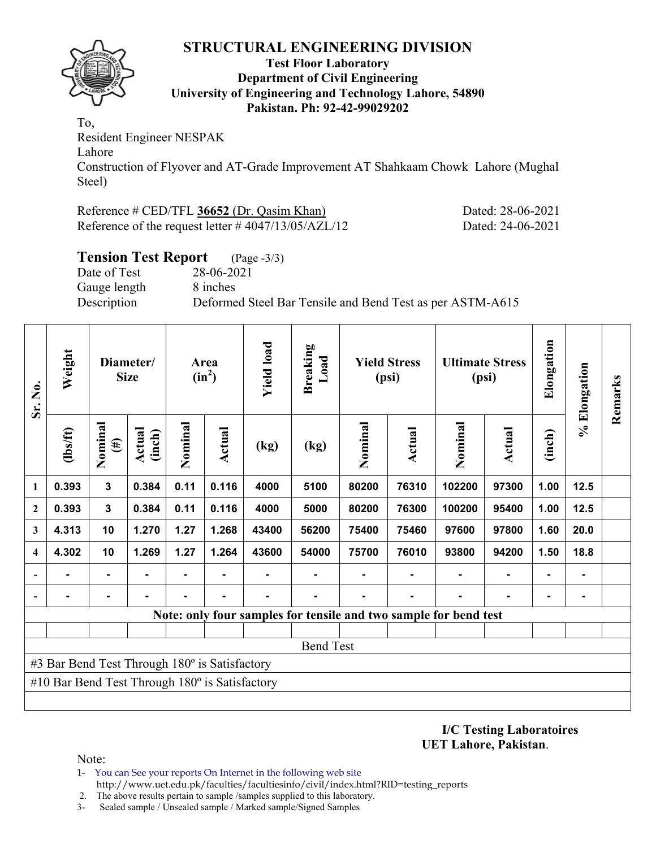

#### **Test Floor Laboratory Department of Civil Engineering University of Engineering and Technology Lahore, 54890 Pakistan. Ph: 92-42-99029202**

To, Resident Engineer NESPAK

Lahore

Construction of Flyover and AT-Grade Improvement AT Shahkaam Chowk Lahore (Mughal Steel)

Reference # CED/TFL 36652 (Dr. Qasim Khan) Dated: 28-06-2021 Reference of the request letter # 4047/13/05/AZL/12 Dated: 24-06-2021

| <b>Tension Test Report</b> | $(Page - 3/3)$                                            |
|----------------------------|-----------------------------------------------------------|
| Date of Test               | 28-06-2021                                                |
| Gauge length               | 8 inches                                                  |
| Description                | Deformed Steel Bar Tensile and Bend Test as per ASTM-A615 |
|                            |                                                           |

| Sr. No.                 | Weight                                                |                               | Diameter/<br><b>Size</b> |         | Area<br>$(in^2)$ | <b>Yield load</b> | <b>Breaking</b><br>Load |         | <b>Yield Stress</b><br>(psi) | (psi)                                                            | <b>Ultimate Stress</b> | Elongation     | % Elongation | Remarks |
|-------------------------|-------------------------------------------------------|-------------------------------|--------------------------|---------|------------------|-------------------|-------------------------|---------|------------------------------|------------------------------------------------------------------|------------------------|----------------|--------------|---------|
|                         | (1bs/ft)                                              | Nominal<br>$(\#)$             | Actual<br>(inch)         | Nominal | <b>Actual</b>    | (kg)              | (kg)                    | Nominal | Actual                       | Nominal                                                          | <b>Actual</b>          | (inch)         |              |         |
| 1                       | 0.393                                                 | 3                             | 0.384                    | 0.11    | 0.116            | 4000              | 5100                    | 80200   | 76310                        | 102200                                                           | 97300                  | 1.00           | 12.5         |         |
| $\mathbf{2}$            | 0.393                                                 | 0.384<br>0.11<br>$\mathbf{3}$ |                          |         | 0.116            | 4000              | 5000                    | 80200   | 76300                        | 100200                                                           | 95400                  | 1.00           | 12.5         |         |
| 3                       | 4.313                                                 | 1.27<br>1.270<br>1.268<br>10  |                          |         |                  | 43400             | 56200                   | 75400   | 75460                        | 97600                                                            | 97800                  | 1.60           | 20.0         |         |
| $\overline{\mathbf{4}}$ | 4.302                                                 | 10                            | 1.269                    | 1.27    | 1.264            | 43600             | 54000                   | 75700   | 76010                        | 93800                                                            | 94200                  | 1.50           | 18.8         |         |
| $\blacksquare$          |                                                       |                               |                          |         |                  |                   |                         |         |                              |                                                                  | $\blacksquare$         | $\blacksquare$ |              |         |
| $\blacksquare$          |                                                       | ۰                             |                          |         | $\blacksquare$   |                   |                         |         | ۰                            |                                                                  | $\blacksquare$         | $\blacksquare$ |              |         |
|                         |                                                       |                               |                          |         |                  |                   |                         |         |                              | Note: only four samples for tensile and two sample for bend test |                        |                |              |         |
|                         |                                                       |                               |                          |         |                  |                   |                         |         |                              |                                                                  |                        |                |              |         |
|                         |                                                       |                               |                          |         |                  |                   | <b>Bend Test</b>        |         |                              |                                                                  |                        |                |              |         |
|                         | #3 Bar Bend Test Through 180° is Satisfactory         |                               |                          |         |                  |                   |                         |         |                              |                                                                  |                        |                |              |         |
|                         | #10 Bar Bend Test Through $180^\circ$ is Satisfactory |                               |                          |         |                  |                   |                         |         |                              |                                                                  |                        |                |              |         |
|                         |                                                       |                               |                          |         |                  |                   |                         |         |                              |                                                                  |                        |                |              |         |

**I/C Testing Laboratoires UET Lahore, Pakistan**.

Note:

1- You can See your reports On Internet in the following web site http://www.uet.edu.pk/faculties/facultiesinfo/civil/index.html?RID=testing\_reports

2. The above results pertain to sample /samples supplied to this laboratory.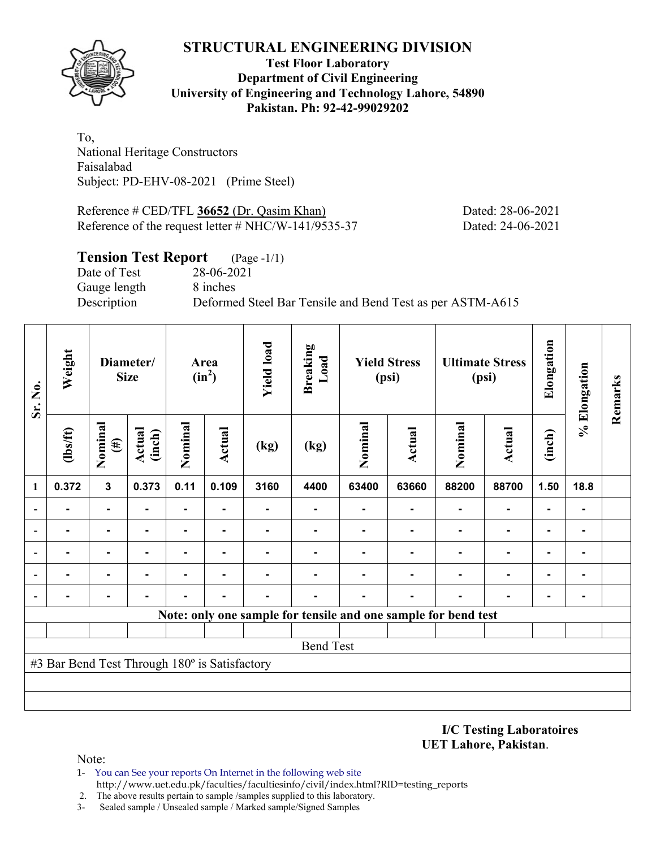

#### **Test Floor Laboratory Department of Civil Engineering University of Engineering and Technology Lahore, 54890 Pakistan. Ph: 92-42-99029202**

To, National Heritage Constructors Faisalabad Subject: PD-EHV-08-2021 (Prime Steel)

Reference # CED/TFL **36652** (Dr. Qasim Khan) Dated: 28-06-2021 Reference of the request letter # NHC/W-141/9535-37 Dated: 24-06-2021

### **Tension Test Report** (Page -1/1)

Date of Test 28-06-2021 Gauge length 8 inches

Description Deformed Steel Bar Tensile and Bend Test as per ASTM-A615

| Sr. No.                  | Weight                                        | Diameter/<br><b>Size</b> |                  | Area<br>$(in^2)$ |                | <b>Yield load</b> | <b>Breaking</b><br>Load | <b>Yield Stress</b><br>(psi) |                                                                | <b>Ultimate Stress</b><br>(psi) |                | Elongation     | % Elongation   | Remarks |
|--------------------------|-----------------------------------------------|--------------------------|------------------|------------------|----------------|-------------------|-------------------------|------------------------------|----------------------------------------------------------------|---------------------------------|----------------|----------------|----------------|---------|
|                          | $\frac{2}{10}$                                | Nominal<br>$(\#)$        | Actual<br>(inch) | Nominal          | <b>Actual</b>  | (kg)              | (kg)                    | Nominal                      | <b>Actual</b>                                                  | Nominal                         | <b>Actual</b>  | (inch)         |                |         |
| 1                        | 0.372                                         | $\mathbf{3}$             | 0.373            | 0.11             | 0.109          | 3160              | 4400                    | 63400                        | 63660                                                          | 88200                           | 88700          | 1.50           | 18.8           |         |
| $\blacksquare$           | Ξ.                                            | $\blacksquare$           |                  | Ξ.               |                |                   | -                       | ۰                            |                                                                | ۰                               | $\blacksquare$ |                | ۰              |         |
| $\overline{\phantom{0}}$ |                                               | $\blacksquare$           | -                | Ξ.               | $\blacksquare$ |                   |                         |                              |                                                                |                                 | $\blacksquare$ | $\blacksquare$ | ۰.             |         |
| $\overline{\phantom{0}}$ |                                               |                          |                  |                  |                |                   |                         |                              |                                                                |                                 |                |                | ۰              |         |
| $\overline{\phantom{a}}$ |                                               | $\blacksquare$           |                  |                  |                |                   |                         |                              |                                                                |                                 |                |                | $\blacksquare$ |         |
| $\overline{\phantom{a}}$ |                                               |                          |                  |                  |                |                   |                         |                              |                                                                |                                 |                |                | ۰              |         |
|                          |                                               |                          |                  |                  |                |                   |                         |                              | Note: only one sample for tensile and one sample for bend test |                                 |                |                |                |         |
|                          |                                               |                          |                  |                  |                |                   |                         |                              |                                                                |                                 |                |                |                |         |
| <b>Bend Test</b>         |                                               |                          |                  |                  |                |                   |                         |                              |                                                                |                                 |                |                |                |         |
|                          | #3 Bar Bend Test Through 180° is Satisfactory |                          |                  |                  |                |                   |                         |                              |                                                                |                                 |                |                |                |         |
|                          |                                               |                          |                  |                  |                |                   |                         |                              |                                                                |                                 |                |                |                |         |
|                          |                                               |                          |                  |                  |                |                   |                         |                              |                                                                |                                 |                |                |                |         |

**I/C Testing Laboratoires UET Lahore, Pakistan**.

Note:

1- You can See your reports On Internet in the following web site http://www.uet.edu.pk/faculties/facultiesinfo/civil/index.html?RID=testing\_reports

2. The above results pertain to sample /samples supplied to this laboratory.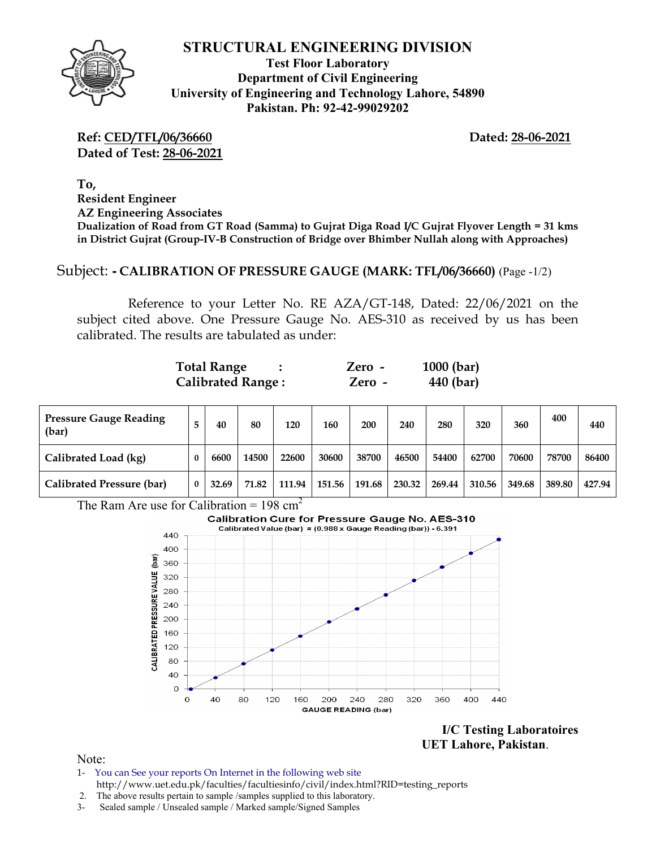

### **Test Floor Laboratory Department of Civil Engineering University of Engineering and Technology Lahore, 54890 Pakistan. Ph: 92-42-99029202**

Ref: CED/TFL/06/36660 Dated: 28-06-2021 **Dated of Test: 28-06-2021**

**To, Resident Engineer AZ Engineering Associates Dualization of Road from GT Road (Samma) to Gujrat Diga Road I/C Gujrat Flyover Length = 31 kms in District Gujrat (Group-IV-B Construction of Bridge over Bhimber Nullah along with Approaches)** 

#### Subject: **- CALIBRATION OF PRESSURE GAUGE (MARK: TFL/06/36660)** (Page -1/2)

Reference to your Letter No. RE AZA/GT-148, Dated: 22/06/2021 on the subject cited above. One Pressure Gauge No. AES-310 as received by us has been calibrated. The results are tabulated as under:

| <b>Total Range</b>       | Zero - | $1000$ (bar) |
|--------------------------|--------|--------------|
| <b>Calibrated Range:</b> | Zero - | 440 (bar)    |

| <b>Pressure Gauge Reading</b><br>(bar) |  | 40    | 80    | 120    | 160    | 200    | 240    | 280    | 320    | 360    | 400    | 440    |
|----------------------------------------|--|-------|-------|--------|--------|--------|--------|--------|--------|--------|--------|--------|
| Calibrated Load (kg)                   |  | 6600  | 14500 | 22600  | 30600  | 38700  | 46500  | 54400  | 62700  | 70600  | 78700  | 86400  |
| Calibrated Pressure (bar)              |  | 32.69 | 71.82 | 111.94 | 151.56 | 191.68 | 230.32 | 269.44 | 310.56 | 349.68 | 389.80 | 427.94 |

The Ram Are use for Calibration =  $198 \text{ cm}^2$ 



**I/C Testing Laboratoires UET Lahore, Pakistan**.

- 1- You can See your reports On Internet in the following web site http://www.uet.edu.pk/faculties/facultiesinfo/civil/index.html?RID=testing\_reports
- 2. The above results pertain to sample /samples supplied to this laboratory.
- 3- Sealed sample / Unsealed sample / Marked sample/Signed Samples